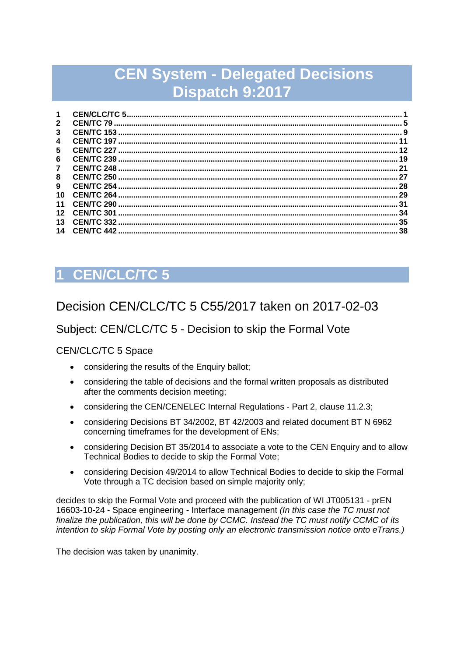# **CEN System - Delegated Decisions Dispatch 9:2017**

| 1            |                   |     |
|--------------|-------------------|-----|
| $\mathbf{2}$ |                   |     |
| 3            | CEN/TC 153        |     |
| 4            |                   | 11  |
| 5            |                   | 12  |
| 6            | CEN/TC 239        | 19  |
| 7            | <b>CEN/TC 248</b> | 21  |
| 8            |                   | .27 |
| 9            | <b>CEN/TC 254</b> | 28  |
| 10           |                   | 29  |
| 11           |                   |     |
| 12           | CEN/TC 301        | 34  |
| 13           |                   | 35  |
| 14           |                   | 38  |
|              |                   |     |

# <span id="page-0-0"></span>**1 CEN/CLC/TC 5**

## Decision CEN/CLC/TC 5 C55/2017 taken on 2017-02-03

## Subject: CEN/CLC/TC 5 - Decision to skip the Formal Vote

#### CEN/CLC/TC 5 Space

- considering the results of the Enquiry ballot;
- considering the table of decisions and the formal written proposals as distributed after the comments decision meeting;
- considering the CEN/CENELEC Internal Regulations Part 2, clause 11.2.3;
- considering Decisions BT 34/2002, BT 42/2003 and related document BT N 6962 concerning timeframes for the development of ENs;
- considering Decision BT 35/2014 to associate a vote to the CEN Enquiry and to allow Technical Bodies to decide to skip the Formal Vote;
- considering Decision 49/2014 to allow Technical Bodies to decide to skip the Formal Vote through a TC decision based on simple majority only;

decides to skip the Formal Vote and proceed with the publication of WI JT005131 - prEN 16603-10-24 - Space engineering - Interface management *(In this case the TC must not finalize the publication, this will be done by CCMC. Instead the TC must notify CCMC of its intention to skip Formal Vote by posting only an electronic transmission notice onto eTrans.)*

The decision was taken by unanimity.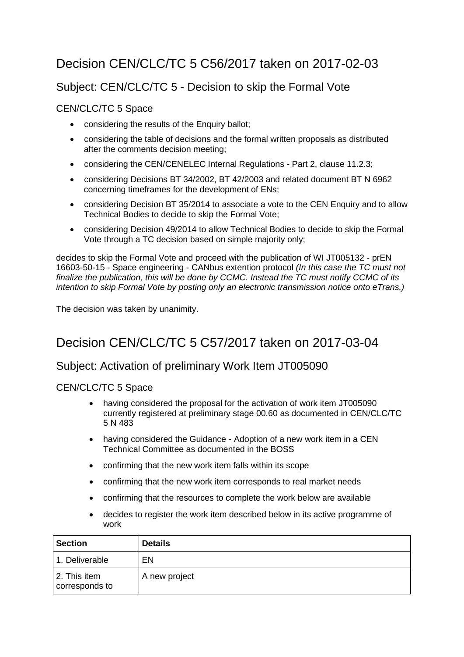## Decision CEN/CLC/TC 5 C56/2017 taken on 2017-02-03

## Subject: CEN/CLC/TC 5 - Decision to skip the Formal Vote

#### CEN/CLC/TC 5 Space

- considering the results of the Enquiry ballot;
- considering the table of decisions and the formal written proposals as distributed after the comments decision meeting;
- considering the CEN/CENELEC Internal Regulations Part 2, clause 11.2.3;
- considering Decisions BT 34/2002, BT 42/2003 and related document BT N 6962 concerning timeframes for the development of ENs;
- considering Decision BT 35/2014 to associate a vote to the CEN Enquiry and to allow Technical Bodies to decide to skip the Formal Vote;
- considering Decision 49/2014 to allow Technical Bodies to decide to skip the Formal Vote through a TC decision based on simple majority only;

decides to skip the Formal Vote and proceed with the publication of WI JT005132 - prEN 16603-50-15 - Space engineering - CANbus extention protocol *(In this case the TC must not finalize the publication, this will be done by CCMC. Instead the TC must notify CCMC of its intention to skip Formal Vote by posting only an electronic transmission notice onto eTrans.)*

The decision was taken by unanimity.

# Decision CEN/CLC/TC 5 C57/2017 taken on 2017-03-04

## Subject: Activation of preliminary Work Item JT005090

CEN/CLC/TC 5 Space

- having considered the proposal for the activation of work item JT005090 currently registered at preliminary stage 00.60 as documented in CEN/CLC/TC 5 N 483
- having considered the Guidance Adoption of a new work item in a CEN Technical Committee as documented in the BOSS
- confirming that the new work item falls within its scope
- confirming that the new work item corresponds to real market needs
- confirming that the resources to complete the work below are available
- decides to register the work item described below in its active programme of work

| <b>Section</b>                 | <b>Details</b> |
|--------------------------------|----------------|
| 1. Deliverable                 | EN             |
| 2. This item<br>corresponds to | A new project  |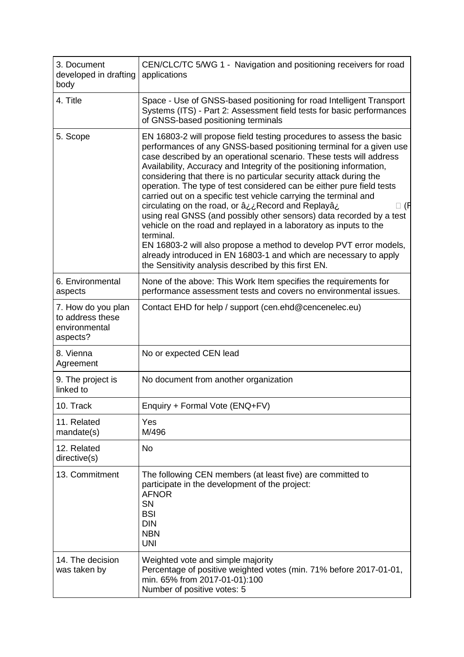| 3. Document<br>developed in drafting<br>body                        | CEN/CLC/TC 5/WG 1 - Navigation and positioning receivers for road<br>applications                                                                                                                                                                                                                                                                                                                                                                                                                                                                                                                                                                                                                                                                                                                                                                                                                                                                  |
|---------------------------------------------------------------------|----------------------------------------------------------------------------------------------------------------------------------------------------------------------------------------------------------------------------------------------------------------------------------------------------------------------------------------------------------------------------------------------------------------------------------------------------------------------------------------------------------------------------------------------------------------------------------------------------------------------------------------------------------------------------------------------------------------------------------------------------------------------------------------------------------------------------------------------------------------------------------------------------------------------------------------------------|
| 4. Title                                                            | Space - Use of GNSS-based positioning for road Intelligent Transport<br>Systems (ITS) - Part 2: Assessment field tests for basic performances<br>of GNSS-based positioning terminals                                                                                                                                                                                                                                                                                                                                                                                                                                                                                                                                                                                                                                                                                                                                                               |
| 5. Scope                                                            | EN 16803-2 will propose field testing procedures to assess the basic<br>performances of any GNSS-based positioning terminal for a given use<br>case described by an operational scenario. These tests will address<br>Availability, Accuracy and Integrity of the positioning information,<br>considering that there is no particular security attack during the<br>operation. The type of test considered can be either pure field tests<br>carried out on a specific test vehicle carrying the terminal and<br>circulating on the road, or â¿¿Record and Replayâ¿<br>$\sqsupset$ (F<br>using real GNSS (and possibly other sensors) data recorded by a test<br>vehicle on the road and replayed in a laboratory as inputs to the<br>terminal.<br>EN 16803-2 will also propose a method to develop PVT error models,<br>already introduced in EN 16803-1 and which are necessary to apply<br>the Sensitivity analysis described by this first EN. |
| 6. Environmental<br>aspects                                         | None of the above: This Work Item specifies the requirements for<br>performance assessment tests and covers no environmental issues.                                                                                                                                                                                                                                                                                                                                                                                                                                                                                                                                                                                                                                                                                                                                                                                                               |
| 7. How do you plan<br>to address these<br>environmental<br>aspects? | Contact EHD for help / support (cen.ehd@cencenelec.eu)                                                                                                                                                                                                                                                                                                                                                                                                                                                                                                                                                                                                                                                                                                                                                                                                                                                                                             |
| 8. Vienna<br>Agreement                                              | No or expected CEN lead                                                                                                                                                                                                                                                                                                                                                                                                                                                                                                                                                                                                                                                                                                                                                                                                                                                                                                                            |
| 9. The project is<br>linked to                                      | No document from another organization                                                                                                                                                                                                                                                                                                                                                                                                                                                                                                                                                                                                                                                                                                                                                                                                                                                                                                              |
| 10. Track                                                           | Enquiry + Formal Vote (ENQ+FV)                                                                                                                                                                                                                                                                                                                                                                                                                                                                                                                                                                                                                                                                                                                                                                                                                                                                                                                     |
| 11. Related<br>mandate(s)                                           | Yes<br>M/496                                                                                                                                                                                                                                                                                                                                                                                                                                                                                                                                                                                                                                                                                                                                                                                                                                                                                                                                       |
| 12. Related<br>directive(s)                                         | <b>No</b>                                                                                                                                                                                                                                                                                                                                                                                                                                                                                                                                                                                                                                                                                                                                                                                                                                                                                                                                          |
| 13. Commitment                                                      | The following CEN members (at least five) are committed to<br>participate in the development of the project:<br><b>AFNOR</b><br><b>SN</b><br><b>BSI</b><br><b>DIN</b><br><b>NBN</b><br><b>UNI</b>                                                                                                                                                                                                                                                                                                                                                                                                                                                                                                                                                                                                                                                                                                                                                  |
| 14. The decision<br>was taken by                                    | Weighted vote and simple majority<br>Percentage of positive weighted votes (min. 71% before 2017-01-01,<br>min. 65% from 2017-01-01):100<br>Number of positive votes: 5                                                                                                                                                                                                                                                                                                                                                                                                                                                                                                                                                                                                                                                                                                                                                                            |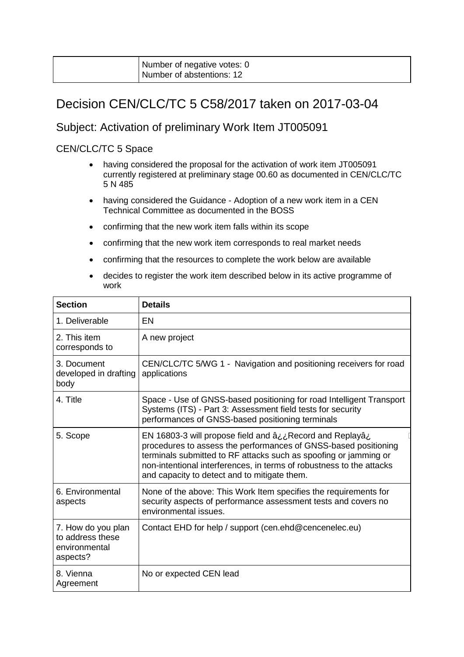| Number of negative votes: 0 |
|-----------------------------|
| Number of abstentions: 12   |

## Decision CEN/CLC/TC 5 C58/2017 taken on 2017-03-04

## Subject: Activation of preliminary Work Item JT005091

#### CEN/CLC/TC 5 Space

- having considered the proposal for the activation of work item JT005091 currently registered at preliminary stage 00.60 as documented in CEN/CLC/TC 5 N 485
- having considered the Guidance Adoption of a new work item in a CEN Technical Committee as documented in the BOSS
- confirming that the new work item falls within its scope
- confirming that the new work item corresponds to real market needs
- confirming that the resources to complete the work below are available
- decides to register the work item described below in its active programme of work

| <b>Section</b>                                                      | <b>Details</b>                                                                                                                                                                                                                                                                                                                |
|---------------------------------------------------------------------|-------------------------------------------------------------------------------------------------------------------------------------------------------------------------------------------------------------------------------------------------------------------------------------------------------------------------------|
| 1. Deliverable                                                      | EN                                                                                                                                                                                                                                                                                                                            |
| 2. This item<br>corresponds to                                      | A new project                                                                                                                                                                                                                                                                                                                 |
| 3. Document<br>developed in drafting<br>body                        | CEN/CLC/TC 5/WG 1 - Navigation and positioning receivers for road<br>applications                                                                                                                                                                                                                                             |
| 4. Title                                                            | Space - Use of GNSS-based positioning for road Intelligent Transport<br>Systems (ITS) - Part 3: Assessment field tests for security<br>performances of GNSS-based positioning terminals                                                                                                                                       |
| 5. Scope                                                            | EN 16803-3 will propose field and $a_{i}$ Record and Replaya i<br>procedures to assess the performances of GNSS-based positioning<br>terminals submitted to RF attacks such as spoofing or jamming or<br>non-intentional interferences, in terms of robustness to the attacks<br>and capacity to detect and to mitigate them. |
| 6. Environmental<br>aspects                                         | None of the above: This Work Item specifies the requirements for<br>security aspects of performance assessment tests and covers no<br>environmental issues.                                                                                                                                                                   |
| 7. How do you plan<br>to address these<br>environmental<br>aspects? | Contact EHD for help / support (cen.ehd@cencenelec.eu)                                                                                                                                                                                                                                                                        |
| 8. Vienna<br>Agreement                                              | No or expected CEN lead                                                                                                                                                                                                                                                                                                       |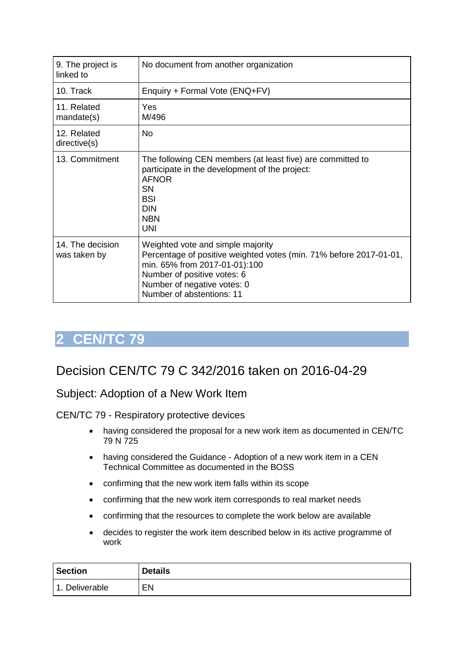| 9. The project is<br>linked to   | No document from another organization                                                                                                                                                                                               |
|----------------------------------|-------------------------------------------------------------------------------------------------------------------------------------------------------------------------------------------------------------------------------------|
| 10. Track                        | Enquiry + Formal Vote (ENQ+FV)                                                                                                                                                                                                      |
| 11. Related<br>mandate(s)        | <b>Yes</b><br>M/496                                                                                                                                                                                                                 |
| 12. Related<br>directive(s)      | <b>No</b>                                                                                                                                                                                                                           |
| 13. Commitment                   | The following CEN members (at least five) are committed to<br>participate in the development of the project:<br><b>AFNOR</b><br><b>SN</b><br>BSI<br><b>DIN</b><br><b>NBN</b><br><b>UNI</b>                                          |
| 14. The decision<br>was taken by | Weighted vote and simple majority<br>Percentage of positive weighted votes (min. 71% before 2017-01-01,<br>min. 65% from 2017-01-01):100<br>Number of positive votes: 6<br>Number of negative votes: 0<br>Number of abstentions: 11 |

# <span id="page-4-0"></span>Decision CEN/TC 79 C 342/2016 taken on 2016-04-29

## Subject: Adoption of a New Work Item

CEN/TC 79 - Respiratory protective devices

- having considered the proposal for a new work item as documented in CEN/TC 79 N 725
- having considered the Guidance Adoption of a new work item in a CEN Technical Committee as documented in the BOSS
- confirming that the new work item falls within its scope
- confirming that the new work item corresponds to real market needs
- confirming that the resources to complete the work below are available
- decides to register the work item described below in its active programme of work

| <b>Section</b> | <b>Details</b> |
|----------------|----------------|
| 1. Deliverable | EN             |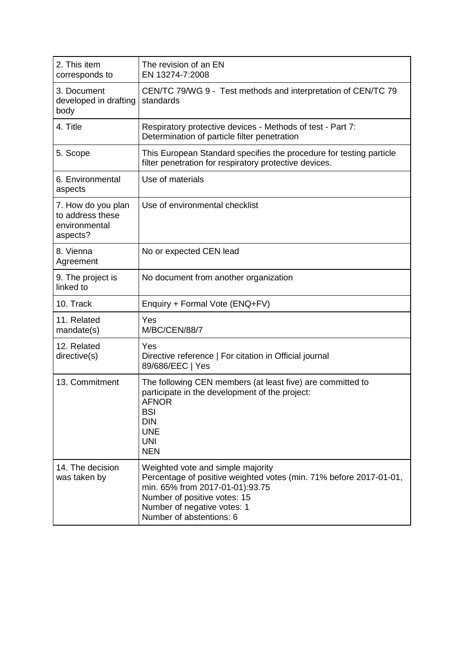| 2. This item<br>corresponds to                                      | The revision of an EN<br>EN 13274-7:2008                                                                                                                                                                                              |
|---------------------------------------------------------------------|---------------------------------------------------------------------------------------------------------------------------------------------------------------------------------------------------------------------------------------|
| 3. Document<br>developed in drafting<br>body                        | CEN/TC 79/WG 9 - Test methods and interpretation of CEN/TC 79<br>standards                                                                                                                                                            |
| 4. Title                                                            | Respiratory protective devices - Methods of test - Part 7:<br>Determination of particle filter penetration                                                                                                                            |
| 5. Scope                                                            | This European Standard specifies the procedure for testing particle<br>filter penetration for respiratory protective devices.                                                                                                         |
| 6. Environmental<br>aspects                                         | Use of materials                                                                                                                                                                                                                      |
| 7. How do you plan<br>to address these<br>environmental<br>aspects? | Use of environmental checklist                                                                                                                                                                                                        |
| 8. Vienna<br>Agreement                                              | No or expected CEN lead                                                                                                                                                                                                               |
| 9. The project is<br>linked to                                      | No document from another organization                                                                                                                                                                                                 |
| 10. Track                                                           | Enquiry + Formal Vote (ENQ+FV)                                                                                                                                                                                                        |
| 11. Related<br>mandate(s)                                           | Yes<br><b>M/BC/CEN/88/7</b>                                                                                                                                                                                                           |
| 12. Related<br>directive(s)                                         | Yes<br>Directive reference   For citation in Official journal<br>89/686/EEC   Yes                                                                                                                                                     |
| 13. Commitment                                                      | The following CEN members (at least five) are committed to<br>participate in the development of the project:<br><b>AFNOR</b><br><b>BSI</b><br><b>DIN</b><br><b>UNE</b><br><b>UNI</b><br><b>NEN</b>                                    |
| 14. The decision<br>was taken by                                    | Weighted vote and simple majority<br>Percentage of positive weighted votes (min. 71% before 2017-01-01,<br>min. 65% from 2017-01-01):93.75<br>Number of positive votes: 15<br>Number of negative votes: 1<br>Number of abstentions: 6 |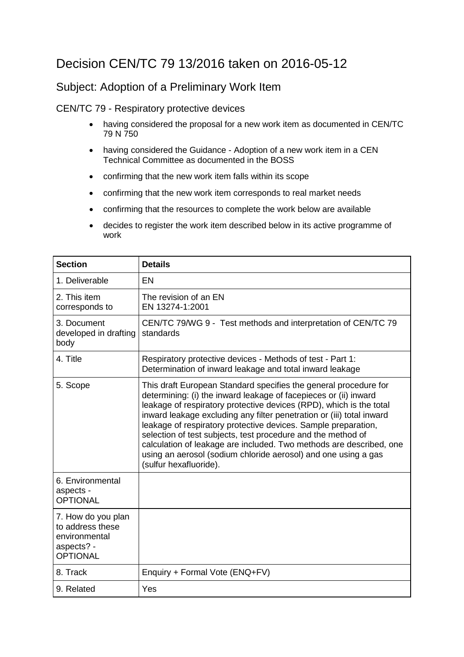# Decision CEN/TC 79 13/2016 taken on 2016-05-12

## Subject: Adoption of a Preliminary Work Item

#### CEN/TC 79 - Respiratory protective devices

- having considered the proposal for a new work item as documented in CEN/TC 79 N 750
- having considered the Guidance Adoption of a new work item in a CEN Technical Committee as documented in the BOSS
- confirming that the new work item falls within its scope
- confirming that the new work item corresponds to real market needs
- confirming that the resources to complete the work below are available
- decides to register the work item described below in its active programme of work

| <b>Section</b>                                                                           | <b>Details</b>                                                                                                                                                                                                                                                                                                                                                                                                                                                                                                                                                                            |
|------------------------------------------------------------------------------------------|-------------------------------------------------------------------------------------------------------------------------------------------------------------------------------------------------------------------------------------------------------------------------------------------------------------------------------------------------------------------------------------------------------------------------------------------------------------------------------------------------------------------------------------------------------------------------------------------|
| 1. Deliverable                                                                           | EN                                                                                                                                                                                                                                                                                                                                                                                                                                                                                                                                                                                        |
| 2. This item<br>corresponds to                                                           | The revision of an EN<br>EN 13274-1:2001                                                                                                                                                                                                                                                                                                                                                                                                                                                                                                                                                  |
| 3. Document<br>developed in drafting<br>body                                             | CEN/TC 79/WG 9 - Test methods and interpretation of CEN/TC 79<br>standards                                                                                                                                                                                                                                                                                                                                                                                                                                                                                                                |
| 4. Title                                                                                 | Respiratory protective devices - Methods of test - Part 1:<br>Determination of inward leakage and total inward leakage                                                                                                                                                                                                                                                                                                                                                                                                                                                                    |
| 5. Scope                                                                                 | This draft European Standard specifies the general procedure for<br>determining: (i) the inward leakage of facepieces or (ii) inward<br>leakage of respiratory protective devices (RPD), which is the total<br>inward leakage excluding any filter penetration or (iii) total inward<br>leakage of respiratory protective devices. Sample preparation,<br>selection of test subjects, test procedure and the method of<br>calculation of leakage are included. Two methods are described, one<br>using an aerosol (sodium chloride aerosol) and one using a gas<br>(sulfur hexafluoride). |
| 6. Environmental<br>aspects -<br><b>OPTIONAL</b>                                         |                                                                                                                                                                                                                                                                                                                                                                                                                                                                                                                                                                                           |
| 7. How do you plan<br>to address these<br>environmental<br>aspects? -<br><b>OPTIONAL</b> |                                                                                                                                                                                                                                                                                                                                                                                                                                                                                                                                                                                           |
| 8. Track                                                                                 | Enquiry + Formal Vote (ENQ+FV)                                                                                                                                                                                                                                                                                                                                                                                                                                                                                                                                                            |
| 9. Related                                                                               | Yes                                                                                                                                                                                                                                                                                                                                                                                                                                                                                                                                                                                       |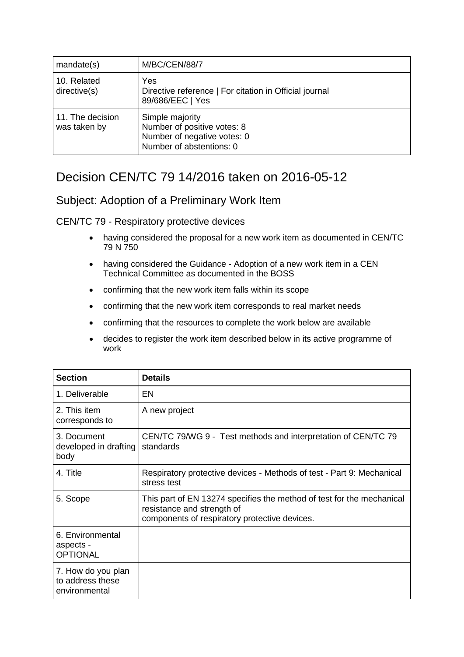| mandate(s)                       | <b>M/BC/CEN/88/7</b>                                                                                      |
|----------------------------------|-----------------------------------------------------------------------------------------------------------|
| 10. Related<br>directive(s)      | Yes<br>Directive reference   For citation in Official journal<br>89/686/EEC   Yes                         |
| 11. The decision<br>was taken by | Simple majority<br>Number of positive votes: 8<br>Number of negative votes: 0<br>Number of abstentions: 0 |

# Decision CEN/TC 79 14/2016 taken on 2016-05-12

## Subject: Adoption of a Preliminary Work Item

CEN/TC 79 - Respiratory protective devices

- having considered the proposal for a new work item as documented in CEN/TC 79 N 750
- having considered the Guidance Adoption of a new work item in a CEN Technical Committee as documented in the BOSS
- confirming that the new work item falls within its scope
- confirming that the new work item corresponds to real market needs
- confirming that the resources to complete the work below are available
- decides to register the work item described below in its active programme of work

| <b>Section</b>                                          | <b>Details</b>                                                                                                                                       |
|---------------------------------------------------------|------------------------------------------------------------------------------------------------------------------------------------------------------|
| 1. Deliverable                                          | EN                                                                                                                                                   |
| 2. This item<br>corresponds to                          | A new project                                                                                                                                        |
| 3. Document<br>developed in drafting<br>body            | CEN/TC 79/WG 9 - Test methods and interpretation of CEN/TC 79<br>standards                                                                           |
| 4. Title                                                | Respiratory protective devices - Methods of test - Part 9: Mechanical<br>stress test                                                                 |
| 5. Scope                                                | This part of EN 13274 specifies the method of test for the mechanical<br>resistance and strength of<br>components of respiratory protective devices. |
| 6. Environmental<br>aspects -<br><b>OPTIONAL</b>        |                                                                                                                                                      |
| 7. How do you plan<br>to address these<br>environmental |                                                                                                                                                      |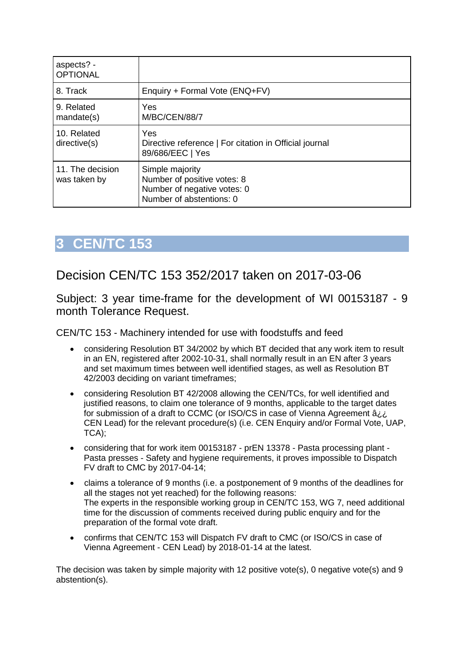| aspects? -<br><b>OPTIONAL</b>    |                                                                                                           |
|----------------------------------|-----------------------------------------------------------------------------------------------------------|
| 8. Track                         | Enquiry + Formal Vote (ENQ+FV)                                                                            |
| 9. Related<br>mandate(s)         | Yes<br><b>M/BC/CEN/88/7</b>                                                                               |
| 10. Related<br>directive(s)      | Yes<br>Directive reference   For citation in Official journal<br>89/686/EEC   Yes                         |
| 11. The decision<br>was taken by | Simple majority<br>Number of positive votes: 8<br>Number of negative votes: 0<br>Number of abstentions: 0 |

## <span id="page-8-0"></span>Decision CEN/TC 153 352/2017 taken on 2017-03-06

Subject: 3 year time-frame for the development of WI 00153187 - 9 month Tolerance Request.

CEN/TC 153 - Machinery intended for use with foodstuffs and feed

- considering Resolution BT 34/2002 by which BT decided that any work item to result in an EN, registered after 2002-10-31, shall normally result in an EN after 3 years and set maximum times between well identified stages, as well as Resolution BT 42/2003 deciding on variant timeframes;
- considering Resolution BT 42/2008 allowing the CEN/TCs, for well identified and justified reasons, to claim one tolerance of 9 months, applicable to the target dates for submission of a draft to CCMC (or ISO/CS in case of Vienna Agreement â¿¿ CEN Lead) for the relevant procedure(s) (i.e. CEN Enquiry and/or Formal Vote, UAP, TCA);
- considering that for work item 00153187 prEN 13378 Pasta processing plant Pasta presses - Safety and hygiene requirements, it proves impossible to Dispatch FV draft to CMC by 2017-04-14;
- claims a tolerance of 9 months (i.e. a postponement of 9 months of the deadlines for all the stages not yet reached) for the following reasons: The experts in the responsible working group in CEN/TC 153, WG 7, need additional time for the discussion of comments received during public enquiry and for the preparation of the formal vote draft.
- confirms that CEN/TC 153 will Dispatch FV draft to CMC (or ISO/CS in case of Vienna Agreement - CEN Lead) by 2018-01-14 at the latest.

The decision was taken by simple majority with 12 positive vote(s), 0 negative vote(s) and 9 abstention(s).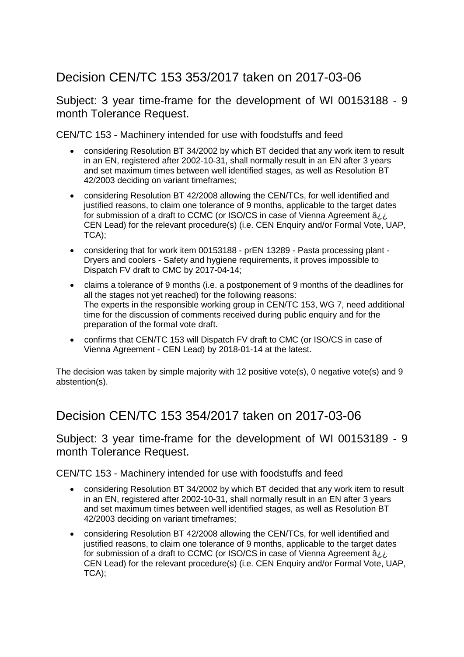# Decision CEN/TC 153 353/2017 taken on 2017-03-06

Subject: 3 year time-frame for the development of WI 00153188 - 9 month Tolerance Request.

CEN/TC 153 - Machinery intended for use with foodstuffs and feed

- considering Resolution BT 34/2002 by which BT decided that any work item to result in an EN, registered after 2002-10-31, shall normally result in an EN after 3 years and set maximum times between well identified stages, as well as Resolution BT 42/2003 deciding on variant timeframes;
- considering Resolution BT 42/2008 allowing the CEN/TCs, for well identified and justified reasons, to claim one tolerance of 9 months, applicable to the target dates for submission of a draft to CCMC (or ISO/CS in case of Vienna Agreement â¿¿ CEN Lead) for the relevant procedure(s) (i.e. CEN Enquiry and/or Formal Vote, UAP, TCA);
- considering that for work item 00153188 prEN 13289 Pasta processing plant Dryers and coolers - Safety and hygiene requirements, it proves impossible to Dispatch FV draft to CMC by 2017-04-14;
- claims a tolerance of 9 months (i.e. a postponement of 9 months of the deadlines for all the stages not yet reached) for the following reasons: The experts in the responsible working group in CEN/TC 153, WG 7, need additional time for the discussion of comments received during public enquiry and for the preparation of the formal vote draft.
- confirms that CEN/TC 153 will Dispatch FV draft to CMC (or ISO/CS in case of Vienna Agreement - CEN Lead) by 2018-01-14 at the latest.

The decision was taken by simple majority with 12 positive vote(s), 0 negative vote(s) and 9 abstention(s).

## Decision CEN/TC 153 354/2017 taken on 2017-03-06

Subject: 3 year time-frame for the development of WI 00153189 - 9 month Tolerance Request.

CEN/TC 153 - Machinery intended for use with foodstuffs and feed

- considering Resolution BT 34/2002 by which BT decided that any work item to result in an EN, registered after 2002-10-31, shall normally result in an EN after 3 years and set maximum times between well identified stages, as well as Resolution BT 42/2003 deciding on variant timeframes;
- considering Resolution BT 42/2008 allowing the CEN/TCs, for well identified and justified reasons, to claim one tolerance of 9 months, applicable to the target dates for submission of a draft to CCMC (or ISO/CS in case of Vienna Agreement â¿¿ CEN Lead) for the relevant procedure(s) (i.e. CEN Enquiry and/or Formal Vote, UAP, TCA);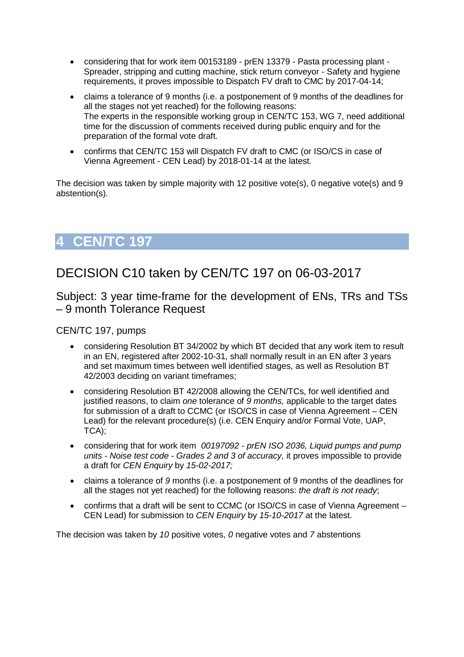- considering that for work item 00153189 prEN 13379 Pasta processing plant Spreader, stripping and cutting machine, stick return conveyor - Safety and hygiene requirements, it proves impossible to Dispatch FV draft to CMC by 2017-04-14;
- claims a tolerance of 9 months (i.e. a postponement of 9 months of the deadlines for all the stages not yet reached) for the following reasons: The experts in the responsible working group in CEN/TC 153, WG 7, need additional time for the discussion of comments received during public enquiry and for the preparation of the formal vote draft.
- confirms that CEN/TC 153 will Dispatch FV draft to CMC (or ISO/CS in case of Vienna Agreement - CEN Lead) by 2018-01-14 at the latest.

The decision was taken by simple majority with 12 positive vote(s), 0 negative vote(s) and 9 abstention(s).

# <span id="page-10-0"></span>**4 CEN/TC 197**

## DECISION C10 taken by CEN/TC 197 on 06-03-2017

Subject: 3 year time-frame for the development of ENs, TRs and TSs – 9 month Tolerance Request

CEN/TC 197, pumps

- considering Resolution BT 34/2002 by which BT decided that any work item to result in an EN, registered after 2002-10-31, shall normally result in an EN after 3 years and set maximum times between well identified stages, as well as Resolution BT 42/2003 deciding on variant timeframes;
- considering Resolution BT 42/2008 allowing the CEN/TCs, for well identified and justified reasons, to claim *one* tolerance of *9 months,* applicable to the target dates for submission of a draft to CCMC (or ISO/CS in case of Vienna Agreement – CEN Lead) for the relevant procedure(s) (i.e. CEN Enquiry and/or Formal Vote, UAP, TCA);
- considering that for work item *00197092 - prEN ISO 2036, Liquid pumps and pump units - Noise test code - Grades 2 and 3 of accuracy,* it proves impossible to provide a draft for *CEN Enquiry* by *15-02-2017;*
- claims a tolerance of *9* months (i.e. a postponement of 9 months of the deadlines for all the stages not yet reached) for the following reasons: *the draft is not ready*;
- confirms that a draft will be sent to CCMC (or ISO/CS in case of Vienna Agreement CEN Lead) for submission to *CEN Enquiry* by *15-10-2017* at the latest.

The decision was taken by *10* positive votes, *0* negative votes and *7* abstentions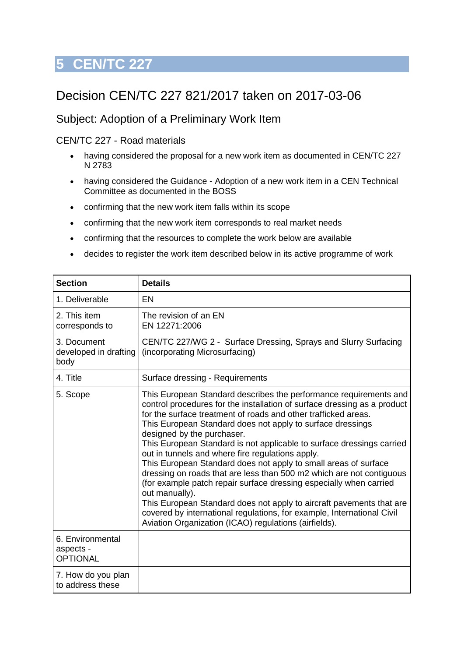# <span id="page-11-0"></span>Decision CEN/TC 227 821/2017 taken on 2017-03-06

## Subject: Adoption of a Preliminary Work Item

- having considered the proposal for a new work item as documented in CEN/TC 227 N 2783
- having considered the Guidance Adoption of a new work item in a CEN Technical Committee as documented in the BOSS
- confirming that the new work item falls within its scope
- confirming that the new work item corresponds to real market needs
- confirming that the resources to complete the work below are available
- decides to register the work item described below in its active programme of work

| <b>Section</b>                                   | <b>Details</b>                                                                                                                                                                                                                                                                                                                                                                                                                                                                                                                                                                                                                                                                                                                                                                                                                                                                         |
|--------------------------------------------------|----------------------------------------------------------------------------------------------------------------------------------------------------------------------------------------------------------------------------------------------------------------------------------------------------------------------------------------------------------------------------------------------------------------------------------------------------------------------------------------------------------------------------------------------------------------------------------------------------------------------------------------------------------------------------------------------------------------------------------------------------------------------------------------------------------------------------------------------------------------------------------------|
| 1. Deliverable                                   | EN                                                                                                                                                                                                                                                                                                                                                                                                                                                                                                                                                                                                                                                                                                                                                                                                                                                                                     |
| 2. This item<br>corresponds to                   | The revision of an EN<br>EN 12271:2006                                                                                                                                                                                                                                                                                                                                                                                                                                                                                                                                                                                                                                                                                                                                                                                                                                                 |
| 3. Document<br>developed in drafting<br>body     | CEN/TC 227/WG 2 - Surface Dressing, Sprays and Slurry Surfacing<br>(incorporating Microsurfacing)                                                                                                                                                                                                                                                                                                                                                                                                                                                                                                                                                                                                                                                                                                                                                                                      |
| 4. Title                                         | Surface dressing - Requirements                                                                                                                                                                                                                                                                                                                                                                                                                                                                                                                                                                                                                                                                                                                                                                                                                                                        |
| 5. Scope                                         | This European Standard describes the performance requirements and<br>control procedures for the installation of surface dressing as a product<br>for the surface treatment of roads and other trafficked areas.<br>This European Standard does not apply to surface dressings<br>designed by the purchaser.<br>This European Standard is not applicable to surface dressings carried<br>out in tunnels and where fire regulations apply.<br>This European Standard does not apply to small areas of surface<br>dressing on roads that are less than 500 m2 which are not contiguous<br>(for example patch repair surface dressing especially when carried<br>out manually).<br>This European Standard does not apply to aircraft pavements that are<br>covered by international regulations, for example, International Civil<br>Aviation Organization (ICAO) regulations (airfields). |
| 6. Environmental<br>aspects -<br><b>OPTIONAL</b> |                                                                                                                                                                                                                                                                                                                                                                                                                                                                                                                                                                                                                                                                                                                                                                                                                                                                                        |
| 7. How do you plan<br>to address these           |                                                                                                                                                                                                                                                                                                                                                                                                                                                                                                                                                                                                                                                                                                                                                                                                                                                                                        |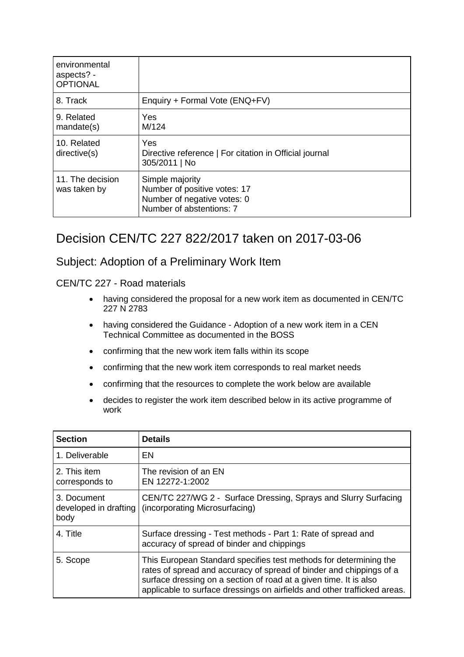| environmental<br>aspects? -<br><b>OPTIONAL</b> |                                                                                                            |
|------------------------------------------------|------------------------------------------------------------------------------------------------------------|
| 8. Track                                       | Enquiry + Formal Vote (ENQ+FV)                                                                             |
| 9. Related<br>mandate(s)                       | Yes.<br>M/124                                                                                              |
| 10. Related<br>directive(s)                    | <b>Yes</b><br>Directive reference   For citation in Official journal<br>305/2011   No                      |
| 11. The decision<br>was taken by               | Simple majority<br>Number of positive votes: 17<br>Number of negative votes: 0<br>Number of abstentions: 7 |

## Decision CEN/TC 227 822/2017 taken on 2017-03-06

## Subject: Adoption of a Preliminary Work Item

- having considered the proposal for a new work item as documented in CEN/TC 227 N 2783
- having considered the Guidance Adoption of a new work item in a CEN Technical Committee as documented in the BOSS
- confirming that the new work item falls within its scope
- confirming that the new work item corresponds to real market needs
- confirming that the resources to complete the work below are available
- decides to register the work item described below in its active programme of work

| <b>Section</b>                               | <b>Details</b>                                                                                                                                                                                                                                                                            |
|----------------------------------------------|-------------------------------------------------------------------------------------------------------------------------------------------------------------------------------------------------------------------------------------------------------------------------------------------|
| 1. Deliverable                               | EN                                                                                                                                                                                                                                                                                        |
| 2. This item<br>corresponds to               | The revision of an EN<br>EN 12272-1:2002                                                                                                                                                                                                                                                  |
| 3. Document<br>developed in drafting<br>body | CEN/TC 227/WG 2 - Surface Dressing, Sprays and Slurry Surfacing<br>(incorporating Microsurfacing)                                                                                                                                                                                         |
| 4. Title                                     | Surface dressing - Test methods - Part 1: Rate of spread and<br>accuracy of spread of binder and chippings                                                                                                                                                                                |
| 5. Scope                                     | This European Standard specifies test methods for determining the<br>rates of spread and accuracy of spread of binder and chippings of a<br>surface dressing on a section of road at a given time. It is also<br>applicable to surface dressings on airfields and other trafficked areas. |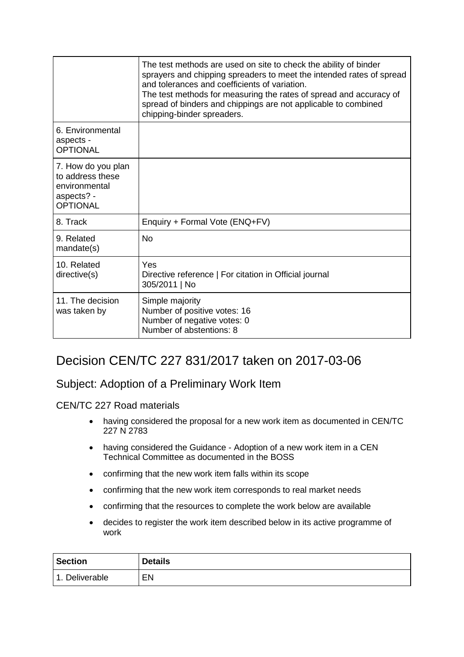|                                                                                          | The test methods are used on site to check the ability of binder<br>sprayers and chipping spreaders to meet the intended rates of spread<br>and tolerances and coefficients of variation.<br>The test methods for measuring the rates of spread and accuracy of<br>spread of binders and chippings are not applicable to combined<br>chipping-binder spreaders. |
|------------------------------------------------------------------------------------------|-----------------------------------------------------------------------------------------------------------------------------------------------------------------------------------------------------------------------------------------------------------------------------------------------------------------------------------------------------------------|
| 6. Environmental<br>aspects -<br><b>OPTIONAL</b>                                         |                                                                                                                                                                                                                                                                                                                                                                 |
| 7. How do you plan<br>to address these<br>environmental<br>aspects? -<br><b>OPTIONAL</b> |                                                                                                                                                                                                                                                                                                                                                                 |
| 8. Track                                                                                 | Enquiry + Formal Vote (ENQ+FV)                                                                                                                                                                                                                                                                                                                                  |
| 9. Related<br>mandate(s)                                                                 | <b>No</b>                                                                                                                                                                                                                                                                                                                                                       |
| 10. Related<br>directive(s)                                                              | Yes<br>Directive reference   For citation in Official journal<br>305/2011   No                                                                                                                                                                                                                                                                                  |
| 11. The decision<br>was taken by                                                         | Simple majority<br>Number of positive votes: 16<br>Number of negative votes: 0<br>Number of abstentions: 8                                                                                                                                                                                                                                                      |

## Decision CEN/TC 227 831/2017 taken on 2017-03-06

## Subject: Adoption of a Preliminary Work Item

- having considered the proposal for a new work item as documented in CEN/TC 227 N 2783
- having considered the Guidance Adoption of a new work item in a CEN Technical Committee as documented in the BOSS
- confirming that the new work item falls within its scope
- confirming that the new work item corresponds to real market needs
- confirming that the resources to complete the work below are available
- decides to register the work item described below in its active programme of work

| <b>Section</b>                | <b>Details</b> |
|-------------------------------|----------------|
| Deliverable<br>$\overline{1}$ | EN             |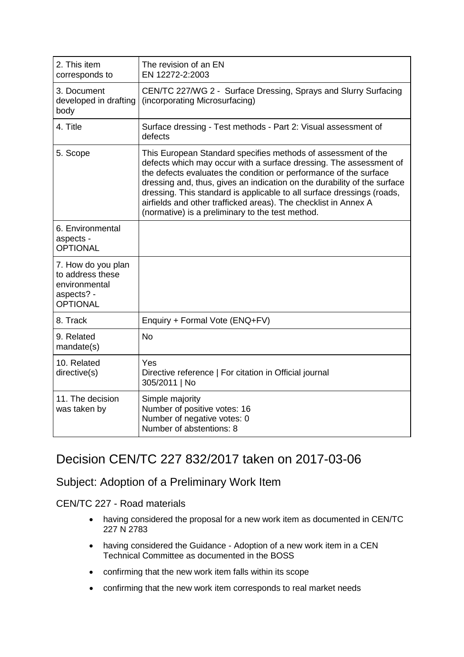| 2. This item<br>corresponds to                                                           | The revision of an EN<br>EN 12272-2:2003                                                                                                                                                                                                                                                                                                                                                                                                                                              |
|------------------------------------------------------------------------------------------|---------------------------------------------------------------------------------------------------------------------------------------------------------------------------------------------------------------------------------------------------------------------------------------------------------------------------------------------------------------------------------------------------------------------------------------------------------------------------------------|
| 3. Document<br>developed in drafting<br>body                                             | CEN/TC 227/WG 2 - Surface Dressing, Sprays and Slurry Surfacing<br>(incorporating Microsurfacing)                                                                                                                                                                                                                                                                                                                                                                                     |
| 4. Title                                                                                 | Surface dressing - Test methods - Part 2: Visual assessment of<br>defects                                                                                                                                                                                                                                                                                                                                                                                                             |
| 5. Scope                                                                                 | This European Standard specifies methods of assessment of the<br>defects which may occur with a surface dressing. The assessment of<br>the defects evaluates the condition or performance of the surface<br>dressing and, thus, gives an indication on the durability of the surface<br>dressing. This standard is applicable to all surface dressings (roads,<br>airfields and other trafficked areas). The checklist in Annex A<br>(normative) is a preliminary to the test method. |
| 6. Environmental<br>aspects -<br><b>OPTIONAL</b>                                         |                                                                                                                                                                                                                                                                                                                                                                                                                                                                                       |
| 7. How do you plan<br>to address these<br>environmental<br>aspects? -<br><b>OPTIONAL</b> |                                                                                                                                                                                                                                                                                                                                                                                                                                                                                       |
| 8. Track                                                                                 | Enquiry + Formal Vote (ENQ+FV)                                                                                                                                                                                                                                                                                                                                                                                                                                                        |
| 9. Related<br>mandate(s)                                                                 | <b>No</b>                                                                                                                                                                                                                                                                                                                                                                                                                                                                             |
| 10. Related<br>directive(s)                                                              | Yes<br>Directive reference   For citation in Official journal<br>305/2011   No                                                                                                                                                                                                                                                                                                                                                                                                        |
| 11. The decision<br>was taken by                                                         | Simple majority<br>Number of positive votes: 16<br>Number of negative votes: 0<br>Number of abstentions: 8                                                                                                                                                                                                                                                                                                                                                                            |

## Decision CEN/TC 227 832/2017 taken on 2017-03-06

## Subject: Adoption of a Preliminary Work Item

- having considered the proposal for a new work item as documented in CEN/TC 227 N 2783
- having considered the Guidance Adoption of a new work item in a CEN Technical Committee as documented in the BOSS
- confirming that the new work item falls within its scope
- confirming that the new work item corresponds to real market needs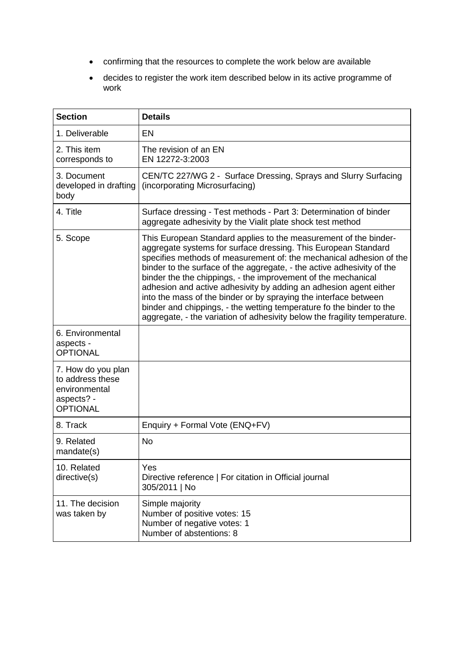- confirming that the resources to complete the work below are available
- decides to register the work item described below in its active programme of work

| <b>Section</b>                                                                           | <b>Details</b>                                                                                                                                                                                                                                                                                                                                                                                                                                                                                                                                                                                                                                     |
|------------------------------------------------------------------------------------------|----------------------------------------------------------------------------------------------------------------------------------------------------------------------------------------------------------------------------------------------------------------------------------------------------------------------------------------------------------------------------------------------------------------------------------------------------------------------------------------------------------------------------------------------------------------------------------------------------------------------------------------------------|
| 1. Deliverable                                                                           | <b>EN</b>                                                                                                                                                                                                                                                                                                                                                                                                                                                                                                                                                                                                                                          |
| 2. This item<br>corresponds to                                                           | The revision of an EN<br>EN 12272-3:2003                                                                                                                                                                                                                                                                                                                                                                                                                                                                                                                                                                                                           |
| 3. Document<br>developed in drafting<br>body                                             | CEN/TC 227/WG 2 - Surface Dressing, Sprays and Slurry Surfacing<br>(incorporating Microsurfacing)                                                                                                                                                                                                                                                                                                                                                                                                                                                                                                                                                  |
| 4. Title                                                                                 | Surface dressing - Test methods - Part 3: Determination of binder<br>aggregate adhesivity by the Vialit plate shock test method                                                                                                                                                                                                                                                                                                                                                                                                                                                                                                                    |
| 5. Scope                                                                                 | This European Standard applies to the measurement of the binder-<br>aggregate systems for surface dressing. This European Standard<br>specifies methods of measurement of: the mechanical adhesion of the<br>binder to the surface of the aggregate, - the active adhesivity of the<br>binder the the chippings, - the improvement of the mechanical<br>adhesion and active adhesivity by adding an adhesion agent either<br>into the mass of the binder or by spraying the interface between<br>binder and chippings, - the wetting temperature fo the binder to the<br>aggregate, - the variation of adhesivity below the fragility temperature. |
| 6. Environmental<br>aspects -<br><b>OPTIONAL</b>                                         |                                                                                                                                                                                                                                                                                                                                                                                                                                                                                                                                                                                                                                                    |
| 7. How do you plan<br>to address these<br>environmental<br>aspects? -<br><b>OPTIONAL</b> |                                                                                                                                                                                                                                                                                                                                                                                                                                                                                                                                                                                                                                                    |
| 8. Track                                                                                 | Enquiry + Formal Vote (ENQ+FV)                                                                                                                                                                                                                                                                                                                                                                                                                                                                                                                                                                                                                     |
| 9. Related<br>mandate(s)                                                                 | <b>No</b>                                                                                                                                                                                                                                                                                                                                                                                                                                                                                                                                                                                                                                          |
| 10. Related<br>directive(s)                                                              | Yes<br>Directive reference   For citation in Official journal<br>305/2011   No                                                                                                                                                                                                                                                                                                                                                                                                                                                                                                                                                                     |
| 11. The decision<br>was taken by                                                         | Simple majority<br>Number of positive votes: 15<br>Number of negative votes: 1<br>Number of abstentions: 8                                                                                                                                                                                                                                                                                                                                                                                                                                                                                                                                         |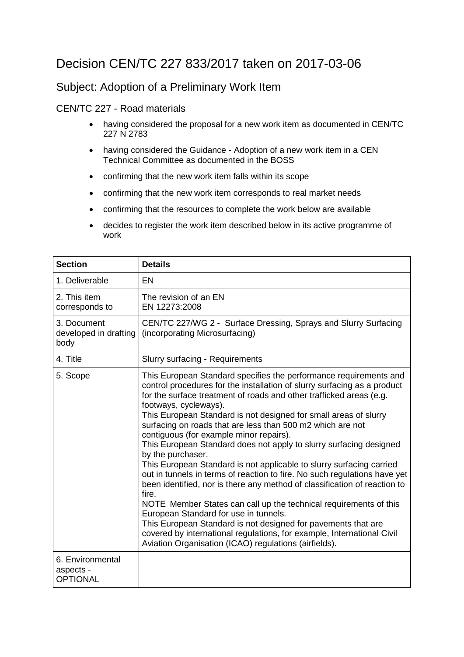## Decision CEN/TC 227 833/2017 taken on 2017-03-06

## Subject: Adoption of a Preliminary Work Item

- having considered the proposal for a new work item as documented in CEN/TC 227 N 2783
- having considered the Guidance Adoption of a new work item in a CEN Technical Committee as documented in the BOSS
- confirming that the new work item falls within its scope
- confirming that the new work item corresponds to real market needs
- confirming that the resources to complete the work below are available
- decides to register the work item described below in its active programme of work

| <b>Section</b>                                   | <b>Details</b>                                                                                                                                                                                                                                                                                                                                                                                                                                                                                                                                                                                                                                                                                                                                                                                                                                                                                                                                                                                                                                                                     |
|--------------------------------------------------|------------------------------------------------------------------------------------------------------------------------------------------------------------------------------------------------------------------------------------------------------------------------------------------------------------------------------------------------------------------------------------------------------------------------------------------------------------------------------------------------------------------------------------------------------------------------------------------------------------------------------------------------------------------------------------------------------------------------------------------------------------------------------------------------------------------------------------------------------------------------------------------------------------------------------------------------------------------------------------------------------------------------------------------------------------------------------------|
| 1. Deliverable                                   | EN                                                                                                                                                                                                                                                                                                                                                                                                                                                                                                                                                                                                                                                                                                                                                                                                                                                                                                                                                                                                                                                                                 |
| 2. This item<br>corresponds to                   | The revision of an EN<br>EN 12273:2008                                                                                                                                                                                                                                                                                                                                                                                                                                                                                                                                                                                                                                                                                                                                                                                                                                                                                                                                                                                                                                             |
| 3. Document<br>developed in drafting<br>body     | CEN/TC 227/WG 2 - Surface Dressing, Sprays and Slurry Surfacing<br>(incorporating Microsurfacing)                                                                                                                                                                                                                                                                                                                                                                                                                                                                                                                                                                                                                                                                                                                                                                                                                                                                                                                                                                                  |
| 4. Title                                         | <b>Slurry surfacing - Requirements</b>                                                                                                                                                                                                                                                                                                                                                                                                                                                                                                                                                                                                                                                                                                                                                                                                                                                                                                                                                                                                                                             |
| 5. Scope                                         | This European Standard specifies the performance requirements and<br>control procedures for the installation of slurry surfacing as a product<br>for the surface treatment of roads and other trafficked areas (e.g.<br>footways, cycleways).<br>This European Standard is not designed for small areas of slurry<br>surfacing on roads that are less than 500 m2 which are not<br>contiguous (for example minor repairs).<br>This European Standard does not apply to slurry surfacing designed<br>by the purchaser.<br>This European Standard is not applicable to slurry surfacing carried<br>out in tunnels in terms of reaction to fire. No such regulations have yet<br>been identified, nor is there any method of classification of reaction to<br>fire.<br>NOTE Member States can call up the technical requirements of this<br>European Standard for use in tunnels.<br>This European Standard is not designed for pavements that are<br>covered by international regulations, for example, International Civil<br>Aviation Organisation (ICAO) regulations (airfields). |
| 6. Environmental<br>aspects -<br><b>OPTIONAL</b> |                                                                                                                                                                                                                                                                                                                                                                                                                                                                                                                                                                                                                                                                                                                                                                                                                                                                                                                                                                                                                                                                                    |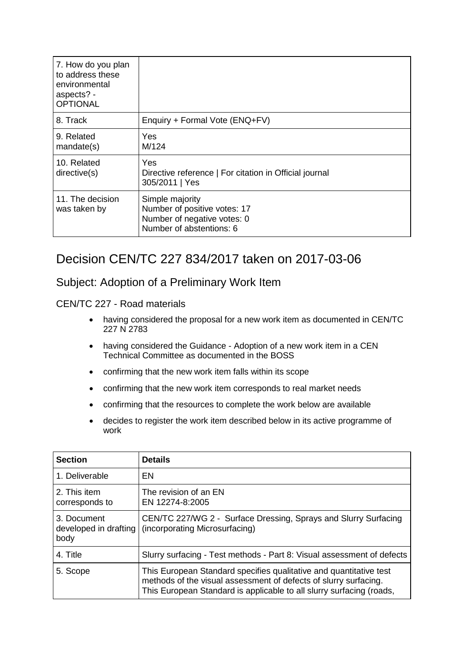| 7. How do you plan<br>to address these<br>environmental<br>aspects? -<br><b>OPTIONAL</b> |                                                                                                            |
|------------------------------------------------------------------------------------------|------------------------------------------------------------------------------------------------------------|
| 8. Track                                                                                 | Enquiry + Formal Vote (ENQ+FV)                                                                             |
| 9. Related<br>mandate(s)                                                                 | Yes.<br>M/124                                                                                              |
| 10. Related<br>directive(s)                                                              | Yes<br>Directive reference   For citation in Official journal<br>305/2011   Yes                            |
| 11. The decision<br>was taken by                                                         | Simple majority<br>Number of positive votes: 17<br>Number of negative votes: 0<br>Number of abstentions: 6 |

# Decision CEN/TC 227 834/2017 taken on 2017-03-06

## Subject: Adoption of a Preliminary Work Item

- having considered the proposal for a new work item as documented in CEN/TC 227 N 2783
- having considered the Guidance Adoption of a new work item in a CEN Technical Committee as documented in the BOSS
- confirming that the new work item falls within its scope
- confirming that the new work item corresponds to real market needs
- confirming that the resources to complete the work below are available
- decides to register the work item described below in its active programme of work

| <b>Section</b>                               | <b>Details</b>                                                                                                                                                                                                 |
|----------------------------------------------|----------------------------------------------------------------------------------------------------------------------------------------------------------------------------------------------------------------|
| 1. Deliverable                               | EN                                                                                                                                                                                                             |
| 2. This item<br>corresponds to               | The revision of an EN<br>EN 12274-8:2005                                                                                                                                                                       |
| 3. Document<br>developed in drafting<br>body | CEN/TC 227/WG 2 - Surface Dressing, Sprays and Slurry Surfacing<br>(incorporating Microsurfacing)                                                                                                              |
| 4. Title                                     | Slurry surfacing - Test methods - Part 8: Visual assessment of defects                                                                                                                                         |
| 5. Scope                                     | This European Standard specifies qualitative and quantitative test<br>methods of the visual assessment of defects of slurry surfacing.<br>This European Standard is applicable to all slurry surfacing (roads, |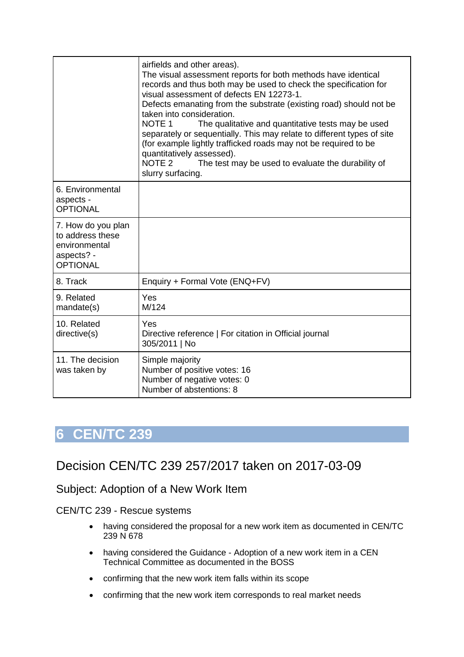|                                                                                          | airfields and other areas).<br>The visual assessment reports for both methods have identical<br>records and thus both may be used to check the specification for<br>visual assessment of defects EN 12273-1.<br>Defects emanating from the substrate (existing road) should not be<br>taken into consideration.<br>NOTE <sub>1</sub><br>The qualitative and quantitative tests may be used<br>separately or sequentially. This may relate to different types of site<br>(for example lightly trafficked roads may not be required to be<br>quantitatively assessed).<br>NOTE <sub>2</sub><br>The test may be used to evaluate the durability of<br>slurry surfacing. |
|------------------------------------------------------------------------------------------|----------------------------------------------------------------------------------------------------------------------------------------------------------------------------------------------------------------------------------------------------------------------------------------------------------------------------------------------------------------------------------------------------------------------------------------------------------------------------------------------------------------------------------------------------------------------------------------------------------------------------------------------------------------------|
| 6. Environmental<br>aspects -<br><b>OPTIONAL</b>                                         |                                                                                                                                                                                                                                                                                                                                                                                                                                                                                                                                                                                                                                                                      |
| 7. How do you plan<br>to address these<br>environmental<br>aspects? -<br><b>OPTIONAL</b> |                                                                                                                                                                                                                                                                                                                                                                                                                                                                                                                                                                                                                                                                      |
| 8. Track                                                                                 | Enquiry + Formal Vote (ENQ+FV)                                                                                                                                                                                                                                                                                                                                                                                                                                                                                                                                                                                                                                       |
| 9. Related<br>mandate(s)                                                                 | <b>Yes</b><br>M/124                                                                                                                                                                                                                                                                                                                                                                                                                                                                                                                                                                                                                                                  |
| 10. Related<br>directive(s)                                                              | Yes<br>Directive reference   For citation in Official journal<br>305/2011   No                                                                                                                                                                                                                                                                                                                                                                                                                                                                                                                                                                                       |
| 11. The decision<br>was taken by                                                         | Simple majority<br>Number of positive votes: 16<br>Number of negative votes: 0<br>Number of abstentions: 8                                                                                                                                                                                                                                                                                                                                                                                                                                                                                                                                                           |

## <span id="page-18-0"></span>Decision CEN/TC 239 257/2017 taken on 2017-03-09

#### Subject: Adoption of a New Work Item

CEN/TC 239 - Rescue systems

- having considered the proposal for a new work item as documented in CEN/TC 239 N 678
- having considered the Guidance Adoption of a new work item in a CEN Technical Committee as documented in the BOSS
- confirming that the new work item falls within its scope
- confirming that the new work item corresponds to real market needs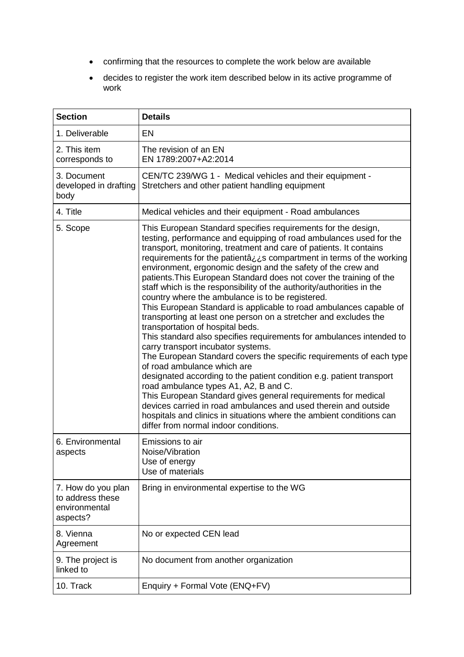- confirming that the resources to complete the work below are available
- decides to register the work item described below in its active programme of work

| <b>Section</b>                                                      | <b>Details</b>                                                                                                                                                                                                                                                                                                                                                                                                                                                                                                                                                                                                                                                                                                                                                                                                                                                                                                                                                                                                                                                                                                                                                                                                                                                                                                                 |
|---------------------------------------------------------------------|--------------------------------------------------------------------------------------------------------------------------------------------------------------------------------------------------------------------------------------------------------------------------------------------------------------------------------------------------------------------------------------------------------------------------------------------------------------------------------------------------------------------------------------------------------------------------------------------------------------------------------------------------------------------------------------------------------------------------------------------------------------------------------------------------------------------------------------------------------------------------------------------------------------------------------------------------------------------------------------------------------------------------------------------------------------------------------------------------------------------------------------------------------------------------------------------------------------------------------------------------------------------------------------------------------------------------------|
| 1. Deliverable                                                      | EN                                                                                                                                                                                                                                                                                                                                                                                                                                                                                                                                                                                                                                                                                                                                                                                                                                                                                                                                                                                                                                                                                                                                                                                                                                                                                                                             |
| 2. This item<br>corresponds to                                      | The revision of an EN<br>EN 1789:2007+A2:2014                                                                                                                                                                                                                                                                                                                                                                                                                                                                                                                                                                                                                                                                                                                                                                                                                                                                                                                                                                                                                                                                                                                                                                                                                                                                                  |
| 3. Document<br>developed in drafting<br>body                        | CEN/TC 239/WG 1 - Medical vehicles and their equipment -<br>Stretchers and other patient handling equipment                                                                                                                                                                                                                                                                                                                                                                                                                                                                                                                                                                                                                                                                                                                                                                                                                                                                                                                                                                                                                                                                                                                                                                                                                    |
| 4. Title                                                            | Medical vehicles and their equipment - Road ambulances                                                                                                                                                                                                                                                                                                                                                                                                                                                                                                                                                                                                                                                                                                                                                                                                                                                                                                                                                                                                                                                                                                                                                                                                                                                                         |
| 5. Scope                                                            | This European Standard specifies requirements for the design,<br>testing, performance and equipping of road ambulances used for the<br>transport, monitoring, treatment and care of patients. It contains<br>requirements for the patient a is compartment in terms of the working<br>environment, ergonomic design and the safety of the crew and<br>patients. This European Standard does not cover the training of the<br>staff which is the responsibility of the authority/authorities in the<br>country where the ambulance is to be registered.<br>This European Standard is applicable to road ambulances capable of<br>transporting at least one person on a stretcher and excludes the<br>transportation of hospital beds.<br>This standard also specifies requirements for ambulances intended to<br>carry transport incubator systems.<br>The European Standard covers the specific requirements of each type<br>of road ambulance which are<br>designated according to the patient condition e.g. patient transport<br>road ambulance types A1, A2, B and C.<br>This European Standard gives general requirements for medical<br>devices carried in road ambulances and used therein and outside<br>hospitals and clinics in situations where the ambient conditions can<br>differ from normal indoor conditions. |
| 6. Environmental<br>aspects                                         | Emissions to air<br>Noise/Vibration<br>Use of energy<br>Use of materials                                                                                                                                                                                                                                                                                                                                                                                                                                                                                                                                                                                                                                                                                                                                                                                                                                                                                                                                                                                                                                                                                                                                                                                                                                                       |
| 7. How do you plan<br>to address these<br>environmental<br>aspects? | Bring in environmental expertise to the WG                                                                                                                                                                                                                                                                                                                                                                                                                                                                                                                                                                                                                                                                                                                                                                                                                                                                                                                                                                                                                                                                                                                                                                                                                                                                                     |
| 8. Vienna<br>Agreement                                              | No or expected CEN lead                                                                                                                                                                                                                                                                                                                                                                                                                                                                                                                                                                                                                                                                                                                                                                                                                                                                                                                                                                                                                                                                                                                                                                                                                                                                                                        |
| 9. The project is<br>linked to                                      | No document from another organization                                                                                                                                                                                                                                                                                                                                                                                                                                                                                                                                                                                                                                                                                                                                                                                                                                                                                                                                                                                                                                                                                                                                                                                                                                                                                          |
| 10. Track                                                           | Enquiry + Formal Vote (ENQ+FV)                                                                                                                                                                                                                                                                                                                                                                                                                                                                                                                                                                                                                                                                                                                                                                                                                                                                                                                                                                                                                                                                                                                                                                                                                                                                                                 |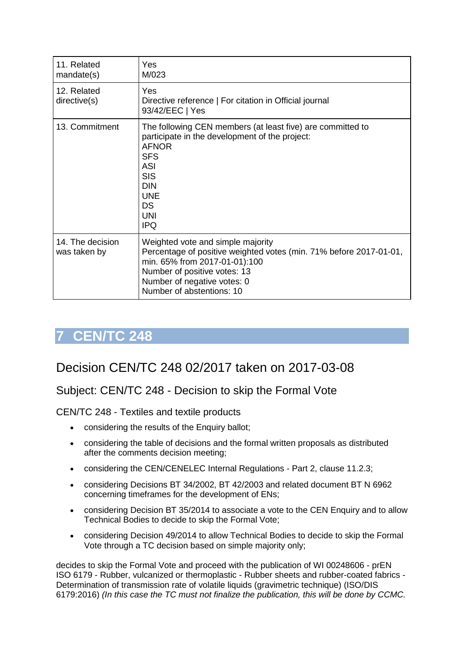| 11. Related<br>mandate(s)        | Yes<br>M/023                                                                                                                                                                                                                          |
|----------------------------------|---------------------------------------------------------------------------------------------------------------------------------------------------------------------------------------------------------------------------------------|
| 12. Related<br>directive(s)      | Yes<br>Directive reference   For citation in Official journal<br>93/42/EEC   Yes                                                                                                                                                      |
| 13. Commitment                   | The following CEN members (at least five) are committed to<br>participate in the development of the project:<br><b>AFNOR</b><br><b>SFS</b><br><b>ASI</b><br><b>SIS</b><br><b>DIN</b><br><b>UNE</b><br>DS.<br><b>UNI</b><br><b>IPQ</b> |
| 14. The decision<br>was taken by | Weighted vote and simple majority<br>Percentage of positive weighted votes (min. 71% before 2017-01-01,<br>min. 65% from 2017-01-01):100<br>Number of positive votes: 13<br>Number of negative votes: 0<br>Number of abstentions: 10  |

## <span id="page-20-0"></span>Decision CEN/TC 248 02/2017 taken on 2017-03-08

## Subject: CEN/TC 248 - Decision to skip the Formal Vote

CEN/TC 248 - Textiles and textile products

- considering the results of the Enquiry ballot;
- considering the table of decisions and the formal written proposals as distributed after the comments decision meeting;
- considering the CEN/CENELEC Internal Regulations Part 2, clause 11.2.3;
- considering Decisions BT 34/2002, BT 42/2003 and related document BT N 6962 concerning timeframes for the development of ENs;
- considering Decision BT 35/2014 to associate a vote to the CEN Enquiry and to allow Technical Bodies to decide to skip the Formal Vote;
- considering Decision 49/2014 to allow Technical Bodies to decide to skip the Formal Vote through a TC decision based on simple majority only;

decides to skip the Formal Vote and proceed with the publication of WI 00248606 - prEN ISO 6179 - Rubber, vulcanized or thermoplastic - Rubber sheets and rubber-coated fabrics - Determination of transmission rate of volatile liquids (gravimetric technique) (ISO/DIS 6179:2016) *(In this case the TC must not finalize the publication, this will be done by CCMC.*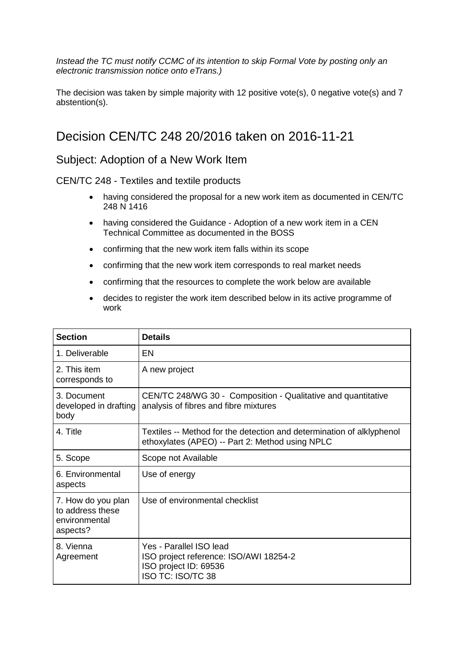*Instead the TC must notify CCMC of its intention to skip Formal Vote by posting only an electronic transmission notice onto eTrans.)*

The decision was taken by simple majority with 12 positive vote(s), 0 negative vote(s) and 7 abstention(s).

## Decision CEN/TC 248 20/2016 taken on 2016-11-21

#### Subject: Adoption of a New Work Item

- having considered the proposal for a new work item as documented in CEN/TC 248 N 1416
- having considered the Guidance Adoption of a new work item in a CEN Technical Committee as documented in the BOSS
- confirming that the new work item falls within its scope
- confirming that the new work item corresponds to real market needs
- confirming that the resources to complete the work below are available
- decides to register the work item described below in its active programme of work

| <b>Section</b>                                                      | <b>Details</b>                                                                                                           |
|---------------------------------------------------------------------|--------------------------------------------------------------------------------------------------------------------------|
| 1. Deliverable                                                      | EN                                                                                                                       |
| 2. This item<br>corresponds to                                      | A new project                                                                                                            |
| 3. Document<br>developed in drafting<br>body                        | CEN/TC 248/WG 30 - Composition - Qualitative and quantitative<br>analysis of fibres and fibre mixtures                   |
| 4. Title                                                            | Textiles -- Method for the detection and determination of alklyphenol<br>ethoxylates (APEO) -- Part 2: Method using NPLC |
| 5. Scope                                                            | Scope not Available                                                                                                      |
| 6. Environmental<br>aspects                                         | Use of energy                                                                                                            |
| 7. How do you plan<br>to address these<br>environmental<br>aspects? | Use of environmental checklist                                                                                           |
| 8. Vienna<br>Agreement                                              | Yes - Parallel ISO lead<br>ISO project reference: ISO/AWI 18254-2<br>ISO project ID: 69536<br><b>ISO TC: ISO/TC 38</b>   |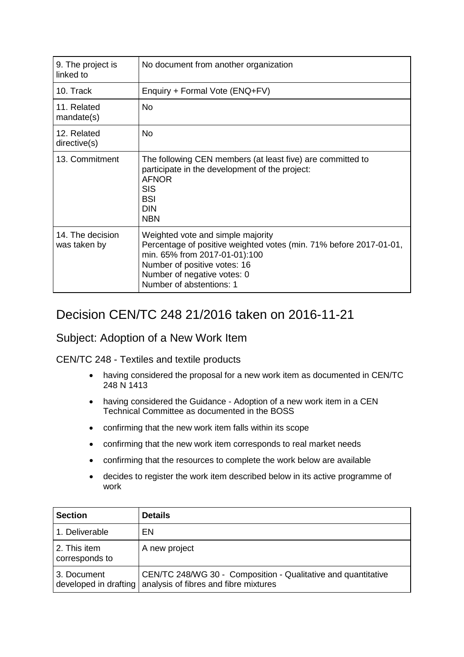| 9. The project is<br>linked to   | No document from another organization                                                                                                                                                                                               |
|----------------------------------|-------------------------------------------------------------------------------------------------------------------------------------------------------------------------------------------------------------------------------------|
| 10. Track                        | Enquiry + Formal Vote (ENQ+FV)                                                                                                                                                                                                      |
| 11. Related<br>mandate(s)        | No                                                                                                                                                                                                                                  |
| 12. Related<br>directive(s)      | <b>No</b>                                                                                                                                                                                                                           |
| 13. Commitment                   | The following CEN members (at least five) are committed to<br>participate in the development of the project:<br><b>AFNOR</b><br><b>SIS</b><br><b>BSI</b><br><b>DIN</b><br><b>NBN</b>                                                |
| 14. The decision<br>was taken by | Weighted vote and simple majority<br>Percentage of positive weighted votes (min. 71% before 2017-01-01,<br>min. 65% from 2017-01-01):100<br>Number of positive votes: 16<br>Number of negative votes: 0<br>Number of abstentions: 1 |

# Decision CEN/TC 248 21/2016 taken on 2016-11-21

#### Subject: Adoption of a New Work Item

- having considered the proposal for a new work item as documented in CEN/TC 248 N 1413
- having considered the Guidance Adoption of a new work item in a CEN Technical Committee as documented in the BOSS
- confirming that the new work item falls within its scope
- confirming that the new work item corresponds to real market needs
- confirming that the resources to complete the work below are available
- decides to register the work item described below in its active programme of work

| <b>Section</b>                 | <b>Details</b>                                                                                                               |
|--------------------------------|------------------------------------------------------------------------------------------------------------------------------|
| 1. Deliverable                 | EN                                                                                                                           |
| 2. This item<br>corresponds to | A new project                                                                                                                |
| 3. Document                    | CEN/TC 248/WG 30 - Composition - Qualitative and quantitative<br>developed in drafting analysis of fibres and fibre mixtures |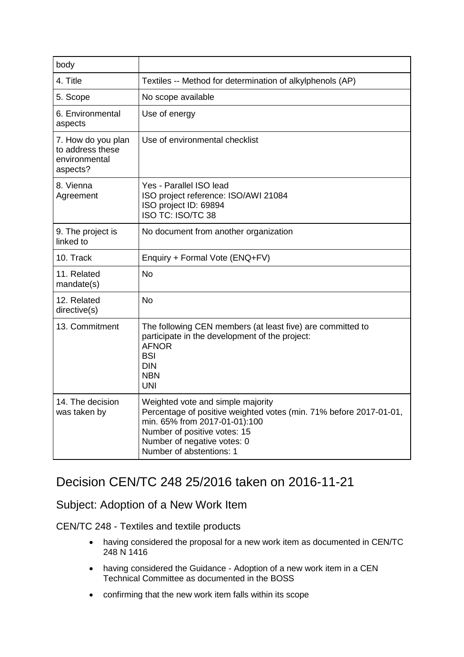| body                                                                |                                                                                                                                                                                                                                     |
|---------------------------------------------------------------------|-------------------------------------------------------------------------------------------------------------------------------------------------------------------------------------------------------------------------------------|
| 4. Title                                                            | Textiles -- Method for determination of alkylphenols (AP)                                                                                                                                                                           |
| 5. Scope                                                            | No scope available                                                                                                                                                                                                                  |
| 6. Environmental<br>aspects                                         | Use of energy                                                                                                                                                                                                                       |
| 7. How do you plan<br>to address these<br>environmental<br>aspects? | Use of environmental checklist                                                                                                                                                                                                      |
| 8. Vienna<br>Agreement                                              | Yes - Parallel ISO lead<br>ISO project reference: ISO/AWI 21084<br>ISO project ID: 69894<br>ISO TC: ISO/TC 38                                                                                                                       |
| 9. The project is<br>linked to                                      | No document from another organization                                                                                                                                                                                               |
| 10. Track                                                           | Enquiry + Formal Vote (ENQ+FV)                                                                                                                                                                                                      |
| 11. Related<br>mandate(s)                                           | <b>No</b>                                                                                                                                                                                                                           |
| 12. Related<br>directive(s)                                         | <b>No</b>                                                                                                                                                                                                                           |
| 13. Commitment                                                      | The following CEN members (at least five) are committed to<br>participate in the development of the project:<br><b>AFNOR</b><br><b>BSI</b><br><b>DIN</b><br><b>NBN</b><br><b>UNI</b>                                                |
| 14. The decision<br>was taken by                                    | Weighted vote and simple majority<br>Percentage of positive weighted votes (min. 71% before 2017-01-01,<br>min. 65% from 2017-01-01):100<br>Number of positive votes: 15<br>Number of negative votes: 0<br>Number of abstentions: 1 |

# Decision CEN/TC 248 25/2016 taken on 2016-11-21

## Subject: Adoption of a New Work Item

- having considered the proposal for a new work item as documented in CEN/TC 248 N 1416
- having considered the Guidance Adoption of a new work item in a CEN Technical Committee as documented in the BOSS
- confirming that the new work item falls within its scope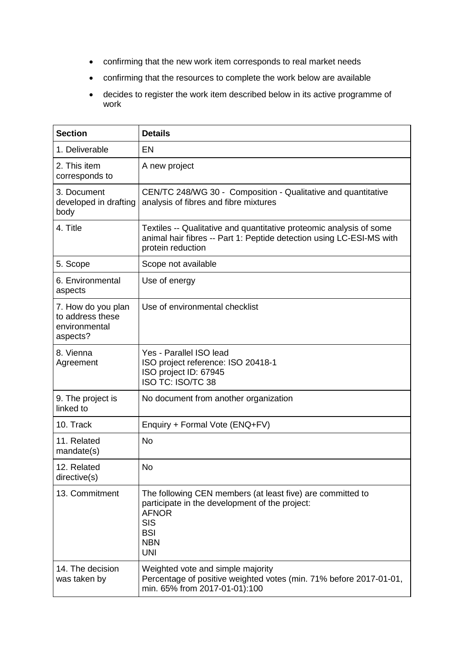- confirming that the new work item corresponds to real market needs
- confirming that the resources to complete the work below are available
- decides to register the work item described below in its active programme of work

| <b>Section</b>                                                      | <b>Details</b>                                                                                                                                                                       |
|---------------------------------------------------------------------|--------------------------------------------------------------------------------------------------------------------------------------------------------------------------------------|
| 1. Deliverable                                                      | <b>EN</b>                                                                                                                                                                            |
| 2. This item<br>corresponds to                                      | A new project                                                                                                                                                                        |
| 3. Document<br>developed in drafting<br>body                        | CEN/TC 248/WG 30 - Composition - Qualitative and quantitative<br>analysis of fibres and fibre mixtures                                                                               |
| 4. Title                                                            | Textiles -- Qualitative and quantitative proteomic analysis of some<br>animal hair fibres -- Part 1: Peptide detection using LC-ESI-MS with<br>protein reduction                     |
| 5. Scope                                                            | Scope not available                                                                                                                                                                  |
| 6. Environmental<br>aspects                                         | Use of energy                                                                                                                                                                        |
| 7. How do you plan<br>to address these<br>environmental<br>aspects? | Use of environmental checklist                                                                                                                                                       |
| 8. Vienna<br>Agreement                                              | Yes - Parallel ISO lead<br>ISO project reference: ISO 20418-1<br>ISO project ID: 67945<br><b>ISO TC: ISO/TC 38</b>                                                                   |
| 9. The project is<br>linked to                                      | No document from another organization                                                                                                                                                |
| 10. Track                                                           | Enquiry + Formal Vote (ENQ+FV)                                                                                                                                                       |
| 11. Related<br>mandate(s)                                           | <b>No</b>                                                                                                                                                                            |
| 12. Related<br>directive(s)                                         | <b>No</b>                                                                                                                                                                            |
| 13. Commitment                                                      | The following CEN members (at least five) are committed to<br>participate in the development of the project:<br><b>AFNOR</b><br><b>SIS</b><br><b>BSI</b><br><b>NBN</b><br><b>UNI</b> |
| 14. The decision<br>was taken by                                    | Weighted vote and simple majority<br>Percentage of positive weighted votes (min. 71% before 2017-01-01,<br>min. 65% from 2017-01-01):100                                             |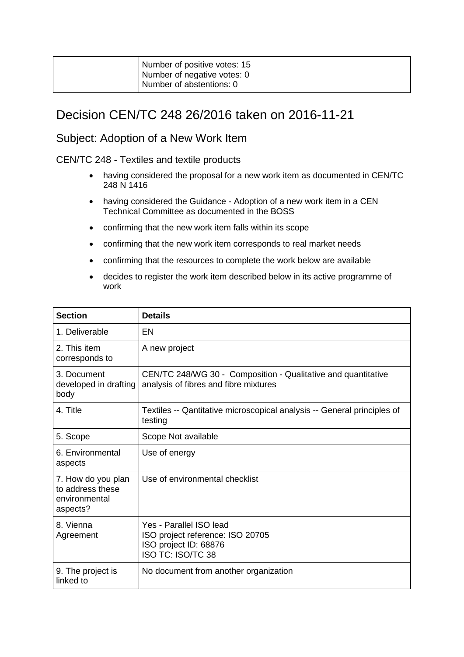|  | Number of positive votes: 15<br>Number of negative votes: 0 |
|--|-------------------------------------------------------------|
|  | Number of abstentions: 0                                    |

## Decision CEN/TC 248 26/2016 taken on 2016-11-21

#### Subject: Adoption of a New Work Item

- having considered the proposal for a new work item as documented in CEN/TC 248 N 1416
- having considered the Guidance Adoption of a new work item in a CEN Technical Committee as documented in the BOSS
- confirming that the new work item falls within its scope
- confirming that the new work item corresponds to real market needs
- confirming that the resources to complete the work below are available
- decides to register the work item described below in its active programme of work

| <b>Section</b>                                                      | <b>Details</b>                                                                                            |
|---------------------------------------------------------------------|-----------------------------------------------------------------------------------------------------------|
| 1. Deliverable                                                      | EN                                                                                                        |
| 2. This item<br>corresponds to                                      | A new project                                                                                             |
| 3. Document<br>developed in drafting<br>body                        | CEN/TC 248/WG 30 - Composition - Qualitative and quantitative<br>analysis of fibres and fibre mixtures    |
| 4. Title                                                            | Textiles -- Qantitative microscopical analysis -- General principles of<br>testing                        |
| 5. Scope                                                            | Scope Not available                                                                                       |
| 6. Environmental<br>aspects                                         | Use of energy                                                                                             |
| 7. How do you plan<br>to address these<br>environmental<br>aspects? | Use of environmental checklist                                                                            |
| 8. Vienna<br>Agreement                                              | Yes - Parallel ISO lead<br>ISO project reference: ISO 20705<br>ISO project ID: 68876<br>ISO TC: ISO/TC 38 |
| 9. The project is<br>linked to                                      | No document from another organization                                                                     |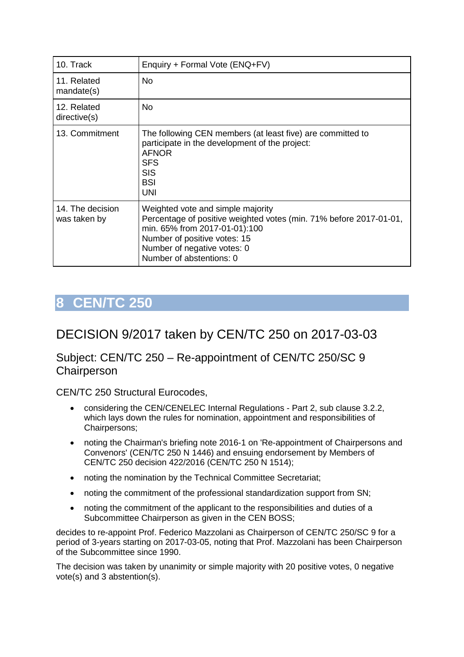| 10. Track                        | Enquiry + Formal Vote (ENQ+FV)                                                                                                                                                                                                      |
|----------------------------------|-------------------------------------------------------------------------------------------------------------------------------------------------------------------------------------------------------------------------------------|
| 11. Related<br>mandate(s)        | No.                                                                                                                                                                                                                                 |
| 12. Related<br>directive(s)      | No                                                                                                                                                                                                                                  |
| 13. Commitment                   | The following CEN members (at least five) are committed to<br>participate in the development of the project:<br><b>AFNOR</b><br><b>SFS</b><br><b>SIS</b><br>BSI<br>UNI                                                              |
| 14. The decision<br>was taken by | Weighted vote and simple majority<br>Percentage of positive weighted votes (min. 71% before 2017-01-01,<br>min. 65% from 2017-01-01):100<br>Number of positive votes: 15<br>Number of negative votes: 0<br>Number of abstentions: 0 |

## <span id="page-26-0"></span>DECISION 9/2017 taken by CEN/TC 250 on 2017-03-03

#### Subject: CEN/TC 250 – Re-appointment of CEN/TC 250/SC 9 **Chairperson**

CEN/TC 250 Structural Eurocodes,

- considering the CEN/CENELEC Internal Regulations Part 2, sub clause 3.2.2, which lays down the rules for nomination, appointment and responsibilities of Chairpersons;
- noting the Chairman's briefing note 2016-1 on 'Re-appointment of Chairpersons and Convenors' (CEN/TC 250 N 1446) and ensuing endorsement by Members of CEN/TC 250 decision 422/2016 (CEN/TC 250 N 1514);
- noting the nomination by the Technical Committee Secretariat;
- noting the commitment of the professional standardization support from SN;
- noting the commitment of the applicant to the responsibilities and duties of a Subcommittee Chairperson as given in the CEN BOSS:

decides to re-appoint Prof. Federico Mazzolani as Chairperson of CEN/TC 250/SC 9 for a period of 3-years starting on 2017-03-05, noting that Prof. Mazzolani has been Chairperson of the Subcommittee since 1990.

The decision was taken by unanimity or simple majority with 20 positive votes, 0 negative vote(s) and 3 abstention(s).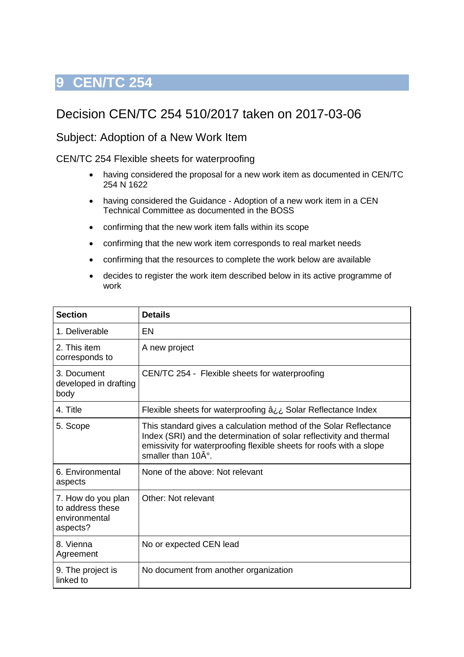## <span id="page-27-0"></span>Decision CEN/TC 254 510/2017 taken on 2017-03-06

### Subject: Adoption of a New Work Item

CEN/TC 254 Flexible sheets for waterproofing

- having considered the proposal for a new work item as documented in CEN/TC 254 N 1622
- having considered the Guidance Adoption of a new work item in a CEN Technical Committee as documented in the BOSS
- confirming that the new work item falls within its scope
- confirming that the new work item corresponds to real market needs
- confirming that the resources to complete the work below are available
- decides to register the work item described below in its active programme of work

| <b>Section</b>                                                      | <b>Details</b>                                                                                                                                                                                                                                         |
|---------------------------------------------------------------------|--------------------------------------------------------------------------------------------------------------------------------------------------------------------------------------------------------------------------------------------------------|
| 1. Deliverable                                                      | <b>EN</b>                                                                                                                                                                                                                                              |
| 2. This item<br>corresponds to                                      | A new project                                                                                                                                                                                                                                          |
| 3. Document<br>developed in drafting<br>body                        | CEN/TC 254 - Flexible sheets for waterproofing                                                                                                                                                                                                         |
| 4. Title                                                            | Flexible sheets for waterproofing $a_{i,i}$ Solar Reflectance Index                                                                                                                                                                                    |
| 5. Scope                                                            | This standard gives a calculation method of the Solar Reflectance<br>Index (SRI) and the determination of solar reflectivity and thermal<br>emissivity for waterproofing flexible sheets for roofs with a slope<br>smaller than $10\text{\AA}^\circ$ . |
| 6. Environmental<br>aspects                                         | None of the above: Not relevant                                                                                                                                                                                                                        |
| 7. How do you plan<br>to address these<br>environmental<br>aspects? | Other: Not relevant                                                                                                                                                                                                                                    |
| 8. Vienna<br>Agreement                                              | No or expected CEN lead                                                                                                                                                                                                                                |
| 9. The project is<br>linked to                                      | No document from another organization                                                                                                                                                                                                                  |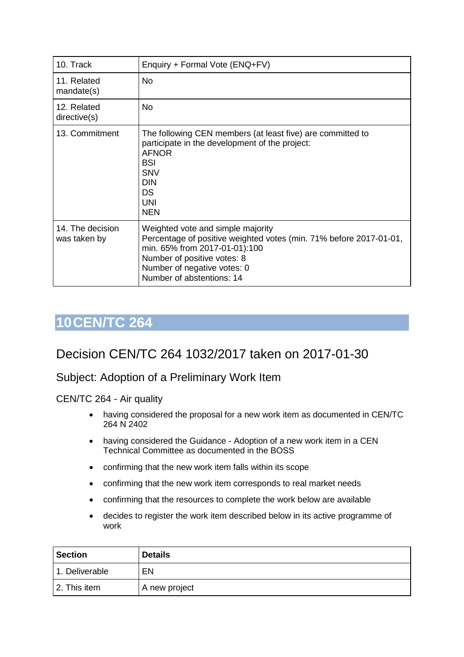| 10. Track                        | Enquiry + Formal Vote (ENQ+FV)                                                                                                                                                                                                      |
|----------------------------------|-------------------------------------------------------------------------------------------------------------------------------------------------------------------------------------------------------------------------------------|
| 11. Related<br>mandate(s)        | No                                                                                                                                                                                                                                  |
| 12. Related<br>directive(s)      | No                                                                                                                                                                                                                                  |
| 13. Commitment                   | The following CEN members (at least five) are committed to<br>participate in the development of the project:<br><b>AFNOR</b><br><b>BSI</b><br><b>SNV</b><br><b>DIN</b><br><b>DS</b><br><b>UNI</b><br><b>NEN</b>                     |
| 14. The decision<br>was taken by | Weighted vote and simple majority<br>Percentage of positive weighted votes (min. 71% before 2017-01-01,<br>min. 65% from 2017-01-01):100<br>Number of positive votes: 8<br>Number of negative votes: 0<br>Number of abstentions: 14 |

## <span id="page-28-0"></span>Decision CEN/TC 264 1032/2017 taken on 2017-01-30

## Subject: Adoption of a Preliminary Work Item

CEN/TC 264 - Air quality

- having considered the proposal for a new work item as documented in CEN/TC 264 N 2402
- having considered the Guidance Adoption of a new work item in a CEN Technical Committee as documented in the BOSS
- confirming that the new work item falls within its scope
- confirming that the new work item corresponds to real market needs
- confirming that the resources to complete the work below are available
- decides to register the work item described below in its active programme of work

| <b>Section</b> | <b>Details</b> |
|----------------|----------------|
| 1. Deliverable | EN             |
| 2. This item   | A new project  |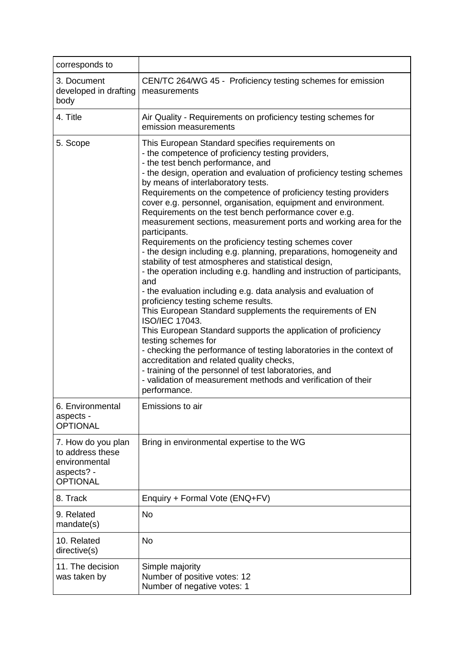| corresponds to                                                                           |                                                                                                                                                                                                                                                                                                                                                                                                                                                                                                                                                                                                                                                                                                                                                                                                                                                                                                                                                                                                                                                                                                                                                                                                                                                                                                                                                                                   |
|------------------------------------------------------------------------------------------|-----------------------------------------------------------------------------------------------------------------------------------------------------------------------------------------------------------------------------------------------------------------------------------------------------------------------------------------------------------------------------------------------------------------------------------------------------------------------------------------------------------------------------------------------------------------------------------------------------------------------------------------------------------------------------------------------------------------------------------------------------------------------------------------------------------------------------------------------------------------------------------------------------------------------------------------------------------------------------------------------------------------------------------------------------------------------------------------------------------------------------------------------------------------------------------------------------------------------------------------------------------------------------------------------------------------------------------------------------------------------------------|
| 3. Document<br>developed in drafting<br>body                                             | CEN/TC 264/WG 45 - Proficiency testing schemes for emission<br>measurements                                                                                                                                                                                                                                                                                                                                                                                                                                                                                                                                                                                                                                                                                                                                                                                                                                                                                                                                                                                                                                                                                                                                                                                                                                                                                                       |
| 4. Title                                                                                 | Air Quality - Requirements on proficiency testing schemes for<br>emission measurements                                                                                                                                                                                                                                                                                                                                                                                                                                                                                                                                                                                                                                                                                                                                                                                                                                                                                                                                                                                                                                                                                                                                                                                                                                                                                            |
| 5. Scope                                                                                 | This European Standard specifies requirements on<br>- the competence of proficiency testing providers,<br>- the test bench performance, and<br>- the design, operation and evaluation of proficiency testing schemes<br>by means of interlaboratory tests.<br>Requirements on the competence of proficiency testing providers<br>cover e.g. personnel, organisation, equipment and environment.<br>Requirements on the test bench performance cover e.g.<br>measurement sections, measurement ports and working area for the<br>participants.<br>Requirements on the proficiency testing schemes cover<br>- the design including e.g. planning, preparations, homogeneity and<br>stability of test atmospheres and statistical design,<br>- the operation including e.g. handling and instruction of participants,<br>and<br>- the evaluation including e.g. data analysis and evaluation of<br>proficiency testing scheme results.<br>This European Standard supplements the requirements of EN<br><b>ISO/IEC 17043.</b><br>This European Standard supports the application of proficiency<br>testing schemes for<br>- checking the performance of testing laboratories in the context of<br>accreditation and related quality checks,<br>- training of the personnel of test laboratories, and<br>- validation of measurement methods and verification of their<br>performance. |
| 6. Environmental<br>aspects -<br><b>OPTIONAL</b>                                         | Emissions to air                                                                                                                                                                                                                                                                                                                                                                                                                                                                                                                                                                                                                                                                                                                                                                                                                                                                                                                                                                                                                                                                                                                                                                                                                                                                                                                                                                  |
| 7. How do you plan<br>to address these<br>environmental<br>aspects? -<br><b>OPTIONAL</b> | Bring in environmental expertise to the WG                                                                                                                                                                                                                                                                                                                                                                                                                                                                                                                                                                                                                                                                                                                                                                                                                                                                                                                                                                                                                                                                                                                                                                                                                                                                                                                                        |
| 8. Track                                                                                 | Enquiry + Formal Vote (ENQ+FV)                                                                                                                                                                                                                                                                                                                                                                                                                                                                                                                                                                                                                                                                                                                                                                                                                                                                                                                                                                                                                                                                                                                                                                                                                                                                                                                                                    |
| 9. Related<br>mandate(s)                                                                 | <b>No</b>                                                                                                                                                                                                                                                                                                                                                                                                                                                                                                                                                                                                                                                                                                                                                                                                                                                                                                                                                                                                                                                                                                                                                                                                                                                                                                                                                                         |
| 10. Related<br>directive(s)                                                              | No                                                                                                                                                                                                                                                                                                                                                                                                                                                                                                                                                                                                                                                                                                                                                                                                                                                                                                                                                                                                                                                                                                                                                                                                                                                                                                                                                                                |
| 11. The decision<br>was taken by                                                         | Simple majority<br>Number of positive votes: 12<br>Number of negative votes: 1                                                                                                                                                                                                                                                                                                                                                                                                                                                                                                                                                                                                                                                                                                                                                                                                                                                                                                                                                                                                                                                                                                                                                                                                                                                                                                    |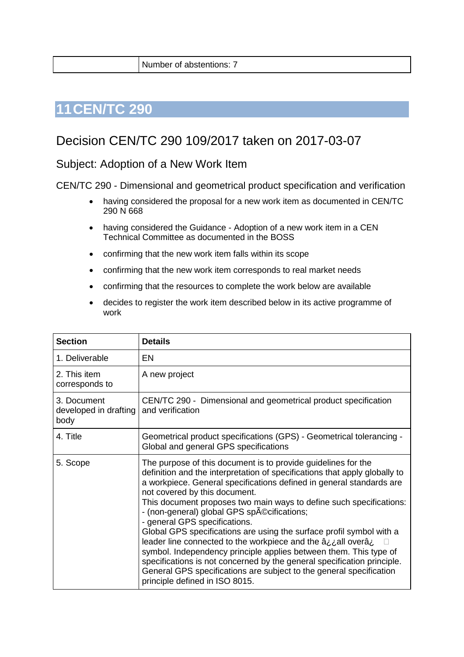Number of abstentions: 7

# <span id="page-30-0"></span>**11CEN/TC 290**

# Decision CEN/TC 290 109/2017 taken on 2017-03-07

Subject: Adoption of a New Work Item

CEN/TC 290 - Dimensional and geometrical product specification and verification

- having considered the proposal for a new work item as documented in CEN/TC 290 N 668
- having considered the Guidance Adoption of a new work item in a CEN Technical Committee as documented in the BOSS
- confirming that the new work item falls within its scope
- confirming that the new work item corresponds to real market needs
- confirming that the resources to complete the work below are available
- decides to register the work item described below in its active programme of work

| <b>Section</b>                               | <b>Details</b>                                                                                                                                                                                                                                                                                                                                                                                                                                                                                                                                                                                                                                                                                                                                                                                                  |
|----------------------------------------------|-----------------------------------------------------------------------------------------------------------------------------------------------------------------------------------------------------------------------------------------------------------------------------------------------------------------------------------------------------------------------------------------------------------------------------------------------------------------------------------------------------------------------------------------------------------------------------------------------------------------------------------------------------------------------------------------------------------------------------------------------------------------------------------------------------------------|
| 1. Deliverable                               | EN                                                                                                                                                                                                                                                                                                                                                                                                                                                                                                                                                                                                                                                                                                                                                                                                              |
| 2. This item<br>corresponds to               | A new project                                                                                                                                                                                                                                                                                                                                                                                                                                                                                                                                                                                                                                                                                                                                                                                                   |
| 3. Document<br>developed in drafting<br>body | CEN/TC 290 - Dimensional and geometrical product specification<br>and verification                                                                                                                                                                                                                                                                                                                                                                                                                                                                                                                                                                                                                                                                                                                              |
| 4. Title                                     | Geometrical product specifications (GPS) - Geometrical tolerancing -<br>Global and general GPS specifications                                                                                                                                                                                                                                                                                                                                                                                                                                                                                                                                                                                                                                                                                                   |
| 5. Scope                                     | The purpose of this document is to provide guidelines for the<br>definition and the interpretation of specifications that apply globally to<br>a workpiece. General specifications defined in general standards are<br>not covered by this document.<br>This document proposes two main ways to define such specifications:<br>- (non-general) global GPS spAO cifications;<br>- general GPS specifications.<br>Global GPS specifications are using the surface profil symbol with a<br>leader line connected to the workpiece and the â ¿¿all overâ ¿<br>symbol. Independency principle applies between them. This type of<br>specifications is not concerned by the general specification principle.<br>General GPS specifications are subject to the general specification<br>principle defined in ISO 8015. |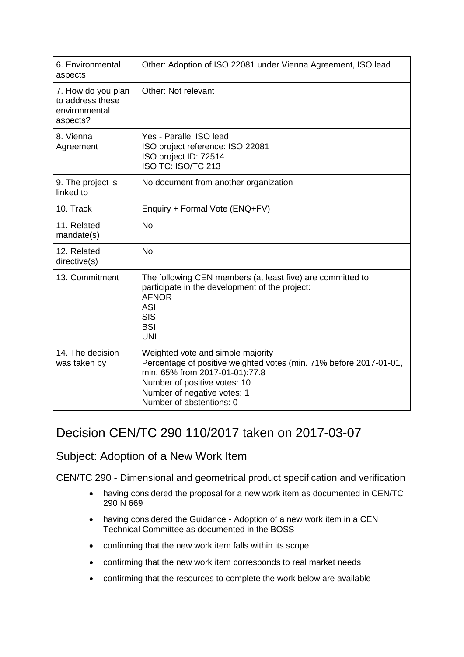| 6. Environmental<br>aspects                                         | Other: Adoption of ISO 22081 under Vienna Agreement, ISO lead                                                                                                                                                                        |
|---------------------------------------------------------------------|--------------------------------------------------------------------------------------------------------------------------------------------------------------------------------------------------------------------------------------|
| 7. How do you plan<br>to address these<br>environmental<br>aspects? | Other: Not relevant                                                                                                                                                                                                                  |
| 8. Vienna<br>Agreement                                              | Yes - Parallel ISO lead<br>ISO project reference: ISO 22081<br>ISO project ID: 72514<br>ISO TC: ISO/TC 213                                                                                                                           |
| 9. The project is<br>linked to                                      | No document from another organization                                                                                                                                                                                                |
| 10. Track                                                           | Enquiry + Formal Vote (ENQ+FV)                                                                                                                                                                                                       |
| 11. Related<br>mandate(s)                                           | <b>No</b>                                                                                                                                                                                                                            |
| 12. Related<br>directive(s)                                         | <b>No</b>                                                                                                                                                                                                                            |
| 13. Commitment                                                      | The following CEN members (at least five) are committed to<br>participate in the development of the project:<br><b>AFNOR</b><br><b>ASI</b><br><b>SIS</b><br><b>BSI</b><br><b>UNI</b>                                                 |
| 14. The decision<br>was taken by                                    | Weighted vote and simple majority<br>Percentage of positive weighted votes (min. 71% before 2017-01-01,<br>min. 65% from 2017-01-01):77.8<br>Number of positive votes: 10<br>Number of negative votes: 1<br>Number of abstentions: 0 |

## Decision CEN/TC 290 110/2017 taken on 2017-03-07

## Subject: Adoption of a New Work Item

CEN/TC 290 - Dimensional and geometrical product specification and verification

- having considered the proposal for a new work item as documented in CEN/TC 290 N 669
- having considered the Guidance Adoption of a new work item in a CEN Technical Committee as documented in the BOSS
- confirming that the new work item falls within its scope
- confirming that the new work item corresponds to real market needs
- confirming that the resources to complete the work below are available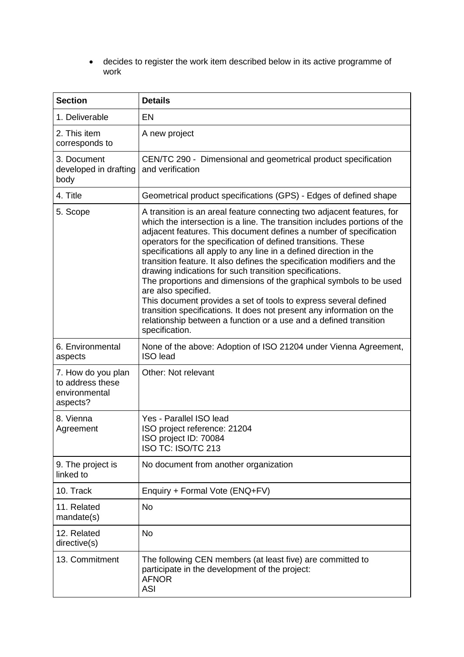• decides to register the work item described below in its active programme of work

| <b>Section</b>                                                      | <b>Details</b>                                                                                                                                                                                                                                                                                                                                                                                                                                                                                                                                                                                                                                                                                                                                                                                                                          |
|---------------------------------------------------------------------|-----------------------------------------------------------------------------------------------------------------------------------------------------------------------------------------------------------------------------------------------------------------------------------------------------------------------------------------------------------------------------------------------------------------------------------------------------------------------------------------------------------------------------------------------------------------------------------------------------------------------------------------------------------------------------------------------------------------------------------------------------------------------------------------------------------------------------------------|
| 1. Deliverable                                                      | EN                                                                                                                                                                                                                                                                                                                                                                                                                                                                                                                                                                                                                                                                                                                                                                                                                                      |
| 2. This item<br>corresponds to                                      | A new project                                                                                                                                                                                                                                                                                                                                                                                                                                                                                                                                                                                                                                                                                                                                                                                                                           |
| 3. Document<br>developed in drafting<br>body                        | CEN/TC 290 - Dimensional and geometrical product specification<br>and verification                                                                                                                                                                                                                                                                                                                                                                                                                                                                                                                                                                                                                                                                                                                                                      |
| 4. Title                                                            | Geometrical product specifications (GPS) - Edges of defined shape                                                                                                                                                                                                                                                                                                                                                                                                                                                                                                                                                                                                                                                                                                                                                                       |
| 5. Scope                                                            | A transition is an areal feature connecting two adjacent features, for<br>which the intersection is a line. The transition includes portions of the<br>adjacent features. This document defines a number of specification<br>operators for the specification of defined transitions. These<br>specifications all apply to any line in a defined direction in the<br>transition feature. It also defines the specification modifiers and the<br>drawing indications for such transition specifications.<br>The proportions and dimensions of the graphical symbols to be used<br>are also specified.<br>This document provides a set of tools to express several defined<br>transition specifications. It does not present any information on the<br>relationship between a function or a use and a defined transition<br>specification. |
| 6. Environmental<br>aspects                                         | None of the above: Adoption of ISO 21204 under Vienna Agreement,<br><b>ISO</b> lead                                                                                                                                                                                                                                                                                                                                                                                                                                                                                                                                                                                                                                                                                                                                                     |
| 7. How do you plan<br>to address these<br>environmental<br>aspects? | Other: Not relevant                                                                                                                                                                                                                                                                                                                                                                                                                                                                                                                                                                                                                                                                                                                                                                                                                     |
| 8. Vienna<br>Agreement                                              | Yes - Parallel ISO lead<br>ISO project reference: 21204<br>ISO project ID: 70084<br>ISO TC: ISO/TC 213                                                                                                                                                                                                                                                                                                                                                                                                                                                                                                                                                                                                                                                                                                                                  |
| 9. The project is<br>linked to                                      | No document from another organization                                                                                                                                                                                                                                                                                                                                                                                                                                                                                                                                                                                                                                                                                                                                                                                                   |
| 10. Track                                                           | Enquiry + Formal Vote (ENQ+FV)                                                                                                                                                                                                                                                                                                                                                                                                                                                                                                                                                                                                                                                                                                                                                                                                          |
| 11. Related<br>mandate(s)                                           | No                                                                                                                                                                                                                                                                                                                                                                                                                                                                                                                                                                                                                                                                                                                                                                                                                                      |
| 12. Related<br>directive(s)                                         | No                                                                                                                                                                                                                                                                                                                                                                                                                                                                                                                                                                                                                                                                                                                                                                                                                                      |
| 13. Commitment                                                      | The following CEN members (at least five) are committed to<br>participate in the development of the project:<br><b>AFNOR</b><br>ASI                                                                                                                                                                                                                                                                                                                                                                                                                                                                                                                                                                                                                                                                                                     |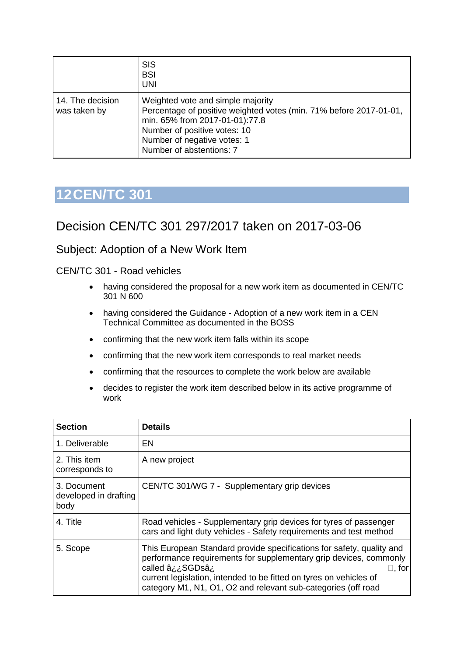|                                  | <b>SIS</b><br><b>BSI</b><br>UNI                                                                                                                                                                                                      |
|----------------------------------|--------------------------------------------------------------------------------------------------------------------------------------------------------------------------------------------------------------------------------------|
| 14. The decision<br>was taken by | Weighted vote and simple majority<br>Percentage of positive weighted votes (min. 71% before 2017-01-01,<br>min. 65% from 2017-01-01):77.8<br>Number of positive votes: 10<br>Number of negative votes: 1<br>Number of abstentions: 7 |

## <span id="page-33-0"></span>Decision CEN/TC 301 297/2017 taken on 2017-03-06

#### Subject: Adoption of a New Work Item

CEN/TC 301 - Road vehicles

- having considered the proposal for a new work item as documented in CEN/TC 301 N 600
- having considered the Guidance Adoption of a new work item in a CEN Technical Committee as documented in the BOSS
- confirming that the new work item falls within its scope
- confirming that the new work item corresponds to real market needs
- confirming that the resources to complete the work below are available
- decides to register the work item described below in its active programme of work

| <b>Section</b>                               | <b>Details</b>                                                                                                                                                                                                                                                                                                           |
|----------------------------------------------|--------------------------------------------------------------------------------------------------------------------------------------------------------------------------------------------------------------------------------------------------------------------------------------------------------------------------|
| 1. Deliverable                               | EN                                                                                                                                                                                                                                                                                                                       |
| 2. This item<br>corresponds to               | A new project                                                                                                                                                                                                                                                                                                            |
| 3. Document<br>developed in drafting<br>body | CEN/TC 301/WG 7 - Supplementary grip devices                                                                                                                                                                                                                                                                             |
| 4. Title                                     | Road vehicles - Supplementary grip devices for tyres of passenger<br>cars and light duty vehicles - Safety requirements and test method                                                                                                                                                                                  |
| 5. Scope                                     | This European Standard provide specifications for safety, quality and<br>performance requirements for supplementary grip devices, commonly<br>called â¿¿SGDsâ¿<br>$\square$ , for<br>current legislation, intended to be fitted on tyres on vehicles of<br>category M1, N1, O1, O2 and relevant sub-categories (off road |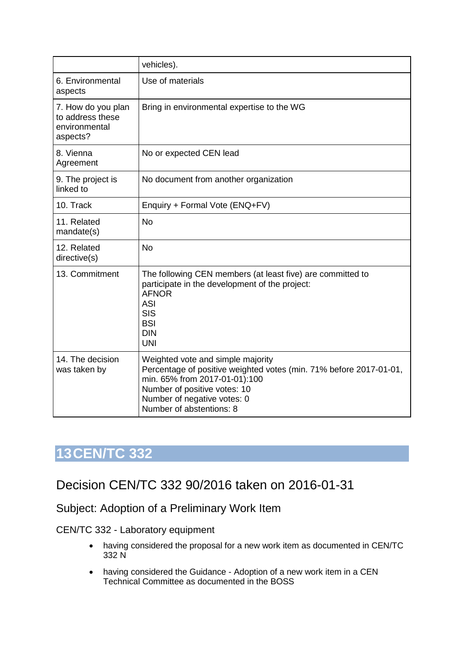|                                                                     | vehicles).                                                                                                                                                                                                                          |
|---------------------------------------------------------------------|-------------------------------------------------------------------------------------------------------------------------------------------------------------------------------------------------------------------------------------|
| 6. Environmental<br>aspects                                         | Use of materials                                                                                                                                                                                                                    |
| 7. How do you plan<br>to address these<br>environmental<br>aspects? | Bring in environmental expertise to the WG                                                                                                                                                                                          |
| 8. Vienna<br>Agreement                                              | No or expected CEN lead                                                                                                                                                                                                             |
| 9. The project is<br>linked to                                      | No document from another organization                                                                                                                                                                                               |
| 10. Track                                                           | Enquiry + Formal Vote (ENQ+FV)                                                                                                                                                                                                      |
| 11. Related<br>mandate(s)                                           | <b>No</b>                                                                                                                                                                                                                           |
| 12. Related<br>directive(s)                                         | <b>No</b>                                                                                                                                                                                                                           |
| 13. Commitment                                                      | The following CEN members (at least five) are committed to<br>participate in the development of the project:<br><b>AFNOR</b><br><b>ASI</b><br><b>SIS</b><br><b>BSI</b><br><b>DIN</b><br><b>UNI</b>                                  |
| 14. The decision<br>was taken by                                    | Weighted vote and simple majority<br>Percentage of positive weighted votes (min. 71% before 2017-01-01,<br>min. 65% from 2017-01-01):100<br>Number of positive votes: 10<br>Number of negative votes: 0<br>Number of abstentions: 8 |

# <span id="page-34-0"></span>Decision CEN/TC 332 90/2016 taken on 2016-01-31

## Subject: Adoption of a Preliminary Work Item

#### CEN/TC 332 - Laboratory equipment

- having considered the proposal for a new work item as documented in CEN/TC 332 N
- having considered the Guidance Adoption of a new work item in a CEN Technical Committee as documented in the BOSS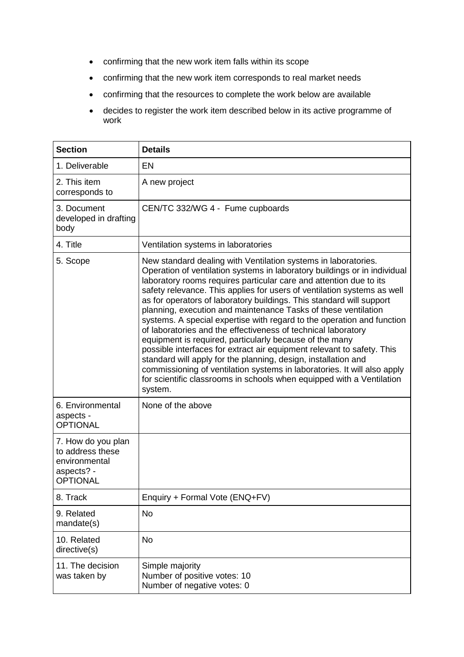- confirming that the new work item falls within its scope
- confirming that the new work item corresponds to real market needs
- confirming that the resources to complete the work below are available
- decides to register the work item described below in its active programme of work

| <b>Section</b>                                                                           | <b>Details</b>                                                                                                                                                                                                                                                                                                                                                                                                                                                                                                                                                                                                                                                                                                                                                                                                                                                                                                                                           |
|------------------------------------------------------------------------------------------|----------------------------------------------------------------------------------------------------------------------------------------------------------------------------------------------------------------------------------------------------------------------------------------------------------------------------------------------------------------------------------------------------------------------------------------------------------------------------------------------------------------------------------------------------------------------------------------------------------------------------------------------------------------------------------------------------------------------------------------------------------------------------------------------------------------------------------------------------------------------------------------------------------------------------------------------------------|
| 1. Deliverable                                                                           | EN                                                                                                                                                                                                                                                                                                                                                                                                                                                                                                                                                                                                                                                                                                                                                                                                                                                                                                                                                       |
| 2. This item<br>corresponds to                                                           | A new project                                                                                                                                                                                                                                                                                                                                                                                                                                                                                                                                                                                                                                                                                                                                                                                                                                                                                                                                            |
| 3. Document<br>developed in drafting<br>body                                             | CEN/TC 332/WG 4 - Fume cupboards                                                                                                                                                                                                                                                                                                                                                                                                                                                                                                                                                                                                                                                                                                                                                                                                                                                                                                                         |
| 4. Title                                                                                 | Ventilation systems in laboratories                                                                                                                                                                                                                                                                                                                                                                                                                                                                                                                                                                                                                                                                                                                                                                                                                                                                                                                      |
| 5. Scope                                                                                 | New standard dealing with Ventilation systems in laboratories.<br>Operation of ventilation systems in laboratory buildings or in individual<br>laboratory rooms requires particular care and attention due to its<br>safety relevance. This applies for users of ventilation systems as well<br>as for operators of laboratory buildings. This standard will support<br>planning, execution and maintenance Tasks of these ventilation<br>systems. A special expertise with regard to the operation and function<br>of laboratories and the effectiveness of technical laboratory<br>equipment is required, particularly because of the many<br>possible interfaces for extract air equipment relevant to safety. This<br>standard will apply for the planning, design, installation and<br>commissioning of ventilation systems in laboratories. It will also apply<br>for scientific classrooms in schools when equipped with a Ventilation<br>system. |
| 6. Environmental<br>aspects -<br><b>OPTIONAL</b>                                         | None of the above                                                                                                                                                                                                                                                                                                                                                                                                                                                                                                                                                                                                                                                                                                                                                                                                                                                                                                                                        |
| 7. How do you plan<br>to address these<br>environmental<br>aspects? -<br><b>OPTIONAL</b> |                                                                                                                                                                                                                                                                                                                                                                                                                                                                                                                                                                                                                                                                                                                                                                                                                                                                                                                                                          |
| 8. Track                                                                                 | Enquiry + Formal Vote (ENQ+FV)                                                                                                                                                                                                                                                                                                                                                                                                                                                                                                                                                                                                                                                                                                                                                                                                                                                                                                                           |
| 9. Related<br>mandate(s)                                                                 | <b>No</b>                                                                                                                                                                                                                                                                                                                                                                                                                                                                                                                                                                                                                                                                                                                                                                                                                                                                                                                                                |
| 10. Related<br>directive(s)                                                              | <b>No</b>                                                                                                                                                                                                                                                                                                                                                                                                                                                                                                                                                                                                                                                                                                                                                                                                                                                                                                                                                |
| 11. The decision<br>was taken by                                                         | Simple majority<br>Number of positive votes: 10<br>Number of negative votes: 0                                                                                                                                                                                                                                                                                                                                                                                                                                                                                                                                                                                                                                                                                                                                                                                                                                                                           |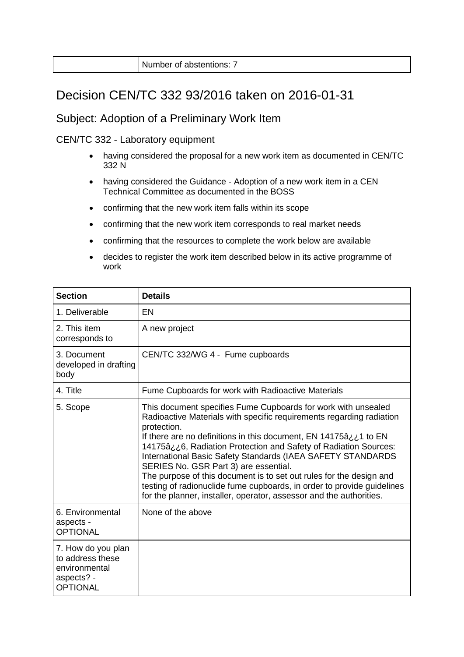| Number of abstentions: 7 |  |
|--------------------------|--|
|--------------------------|--|

## Decision CEN/TC 332 93/2016 taken on 2016-01-31

### Subject: Adoption of a Preliminary Work Item

CEN/TC 332 - Laboratory equipment

- having considered the proposal for a new work item as documented in CEN/TC 332 N
- having considered the Guidance Adoption of a new work item in a CEN Technical Committee as documented in the BOSS
- confirming that the new work item falls within its scope
- confirming that the new work item corresponds to real market needs
- confirming that the resources to complete the work below are available
- decides to register the work item described below in its active programme of work

| <b>Section</b>                                                                           | <b>Details</b>                                                                                                                                                                                                                                                                                                                                                                                                                                                                                                                                                                                                                |
|------------------------------------------------------------------------------------------|-------------------------------------------------------------------------------------------------------------------------------------------------------------------------------------------------------------------------------------------------------------------------------------------------------------------------------------------------------------------------------------------------------------------------------------------------------------------------------------------------------------------------------------------------------------------------------------------------------------------------------|
| 1. Deliverable                                                                           | <b>EN</b>                                                                                                                                                                                                                                                                                                                                                                                                                                                                                                                                                                                                                     |
| 2. This item<br>corresponds to                                                           | A new project                                                                                                                                                                                                                                                                                                                                                                                                                                                                                                                                                                                                                 |
| 3. Document<br>developed in drafting<br>body                                             | CEN/TC 332/WG 4 - Fume cupboards                                                                                                                                                                                                                                                                                                                                                                                                                                                                                                                                                                                              |
| 4. Title                                                                                 | Fume Cupboards for work with Radioactive Materials                                                                                                                                                                                                                                                                                                                                                                                                                                                                                                                                                                            |
| 5. Scope                                                                                 | This document specifies Fume Cupboards for work with unsealed<br>Radioactive Materials with specific requirements regarding radiation<br>protection.<br>If there are no definitions in this document, EN 14175â, ¿1 to EN<br>14175â¿¿6, Radiation Protection and Safety of Radiation Sources:<br>International Basic Safety Standards (IAEA SAFETY STANDARDS<br>SERIES No. GSR Part 3) are essential.<br>The purpose of this document is to set out rules for the design and<br>testing of radionuclide fume cupboards, in order to provide guidelines<br>for the planner, installer, operator, assessor and the authorities. |
| 6. Environmental<br>aspects -<br><b>OPTIONAL</b>                                         | None of the above                                                                                                                                                                                                                                                                                                                                                                                                                                                                                                                                                                                                             |
| 7. How do you plan<br>to address these<br>environmental<br>aspects? -<br><b>OPTIONAL</b> |                                                                                                                                                                                                                                                                                                                                                                                                                                                                                                                                                                                                                               |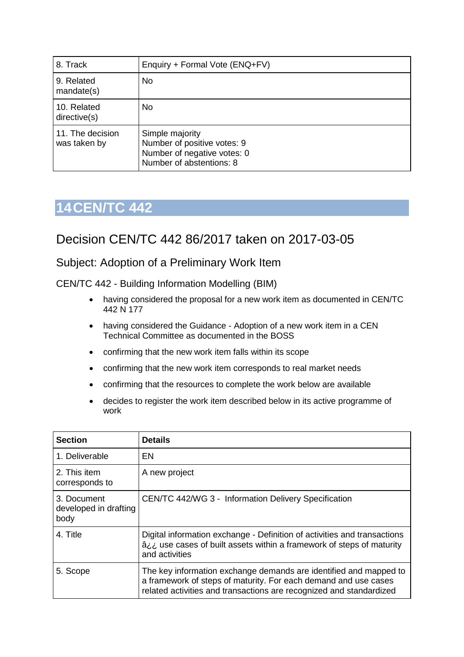| 8. Track                         | Enquiry + Formal Vote (ENQ+FV)                                                                            |
|----------------------------------|-----------------------------------------------------------------------------------------------------------|
| 9. Related<br>mandate(s)         | <b>No</b>                                                                                                 |
| 10. Related<br>directive(s)      | No.                                                                                                       |
| 11. The decision<br>was taken by | Simple majority<br>Number of positive votes: 9<br>Number of negative votes: 0<br>Number of abstentions: 8 |

## <span id="page-37-0"></span>Decision CEN/TC 442 86/2017 taken on 2017-03-05

## Subject: Adoption of a Preliminary Work Item

CEN/TC 442 - Building Information Modelling (BIM)

- having considered the proposal for a new work item as documented in CEN/TC 442 N 177
- having considered the Guidance Adoption of a new work item in a CEN Technical Committee as documented in the BOSS
- confirming that the new work item falls within its scope
- confirming that the new work item corresponds to real market needs
- confirming that the resources to complete the work below are available
- decides to register the work item described below in its active programme of work

| <b>Section</b>                               | <b>Details</b>                                                                                                                                                                                              |
|----------------------------------------------|-------------------------------------------------------------------------------------------------------------------------------------------------------------------------------------------------------------|
| 1. Deliverable                               | EN                                                                                                                                                                                                          |
| 2. This item<br>corresponds to               | A new project                                                                                                                                                                                               |
| 3. Document<br>developed in drafting<br>body | CEN/TC 442/WG 3 - Information Delivery Specification                                                                                                                                                        |
| 4. Title                                     | Digital information exchange - Definition of activities and transactions<br>âi, use cases of built assets within a framework of steps of maturity<br>and activities                                         |
| 5. Scope                                     | The key information exchange demands are identified and mapped to<br>a framework of steps of maturity. For each demand and use cases<br>related activities and transactions are recognized and standardized |